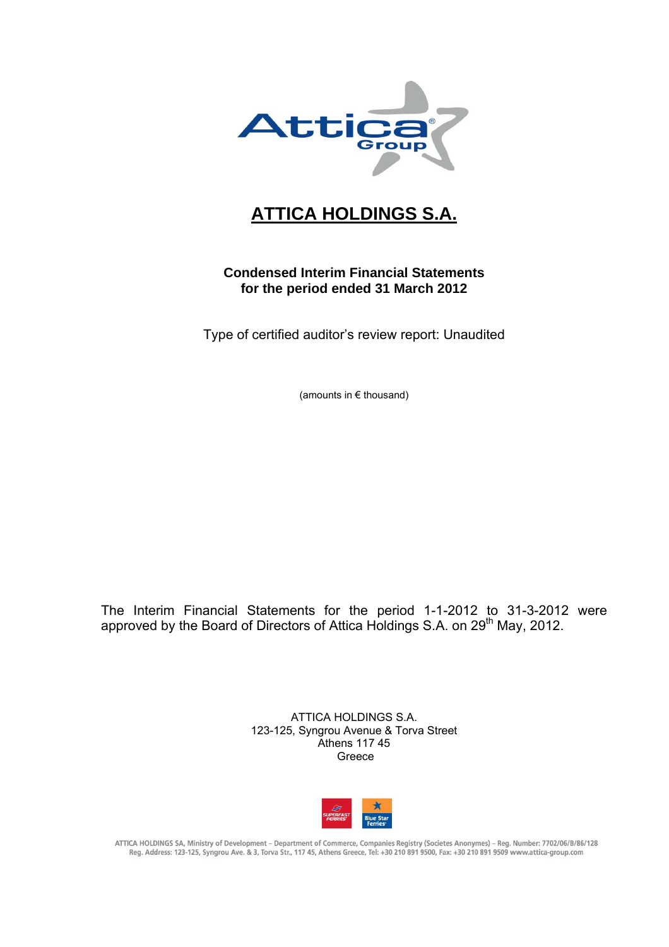

# **ATTICA HOLDINGS S.A.**

## **Condensed Interim Financial Statements for the period ended 31 March 2012**

Type of certified auditor's review report: Unaudited

(amounts in € thousand)

The Interim Financial Statements for the period 1-1-2012 to 31-3-2012 were approved by the Board of Directors of Attica Holdings S.A. on 29<sup>th</sup> May, 2012.

> ATTICA HOLDINGS S.A. 123-125, Syngrou Avenue & Torva Street Athens 117 45 Greece



ATTICA HOLDINGS SA, Ministry of Development - Department of Commerce, Companies Registry (Societes Anonymes) - Reg. Number: 7702/06/B/86/128 Reg. Address: 123-125, Syngrou Ave. & 3, Torva Str., 117 45, Athens Greece, Tel: +30 210 891 9500, Fax: +30 210 891 9509 www.attica-group.com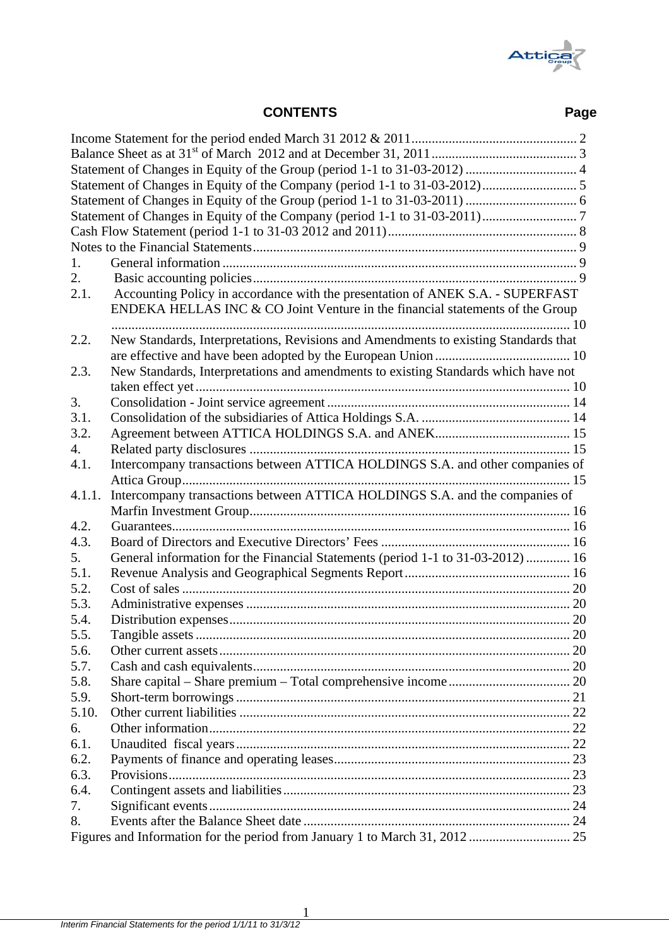

|        | Group                                                                               |      |
|--------|-------------------------------------------------------------------------------------|------|
|        | <b>CONTENTS</b>                                                                     | Page |
|        |                                                                                     |      |
|        |                                                                                     |      |
|        |                                                                                     |      |
|        |                                                                                     |      |
|        |                                                                                     |      |
|        |                                                                                     |      |
|        |                                                                                     |      |
|        |                                                                                     |      |
| 1.     |                                                                                     |      |
| 2.     |                                                                                     |      |
| 2.1.   | Accounting Policy in accordance with the presentation of ANEK S.A. - SUPERFAST      |      |
|        | ENDEKA HELLAS INC & CO Joint Venture in the financial statements of the Group       |      |
|        |                                                                                     |      |
| 2.2.   | New Standards, Interpretations, Revisions and Amendments to existing Standards that |      |
|        |                                                                                     |      |
| 2.3.   | New Standards, Interpretations and amendments to existing Standards which have not  |      |
|        |                                                                                     |      |
| 3.     |                                                                                     |      |
| 3.1.   |                                                                                     |      |
| 3.2.   |                                                                                     |      |
| 4.     |                                                                                     |      |
| 4.1.   | Intercompany transactions between ATTICA HOLDINGS S.A. and other companies of       |      |
|        |                                                                                     |      |
| 4.1.1. | Intercompany transactions between ATTICA HOLDINGS S.A. and the companies of         |      |
|        |                                                                                     |      |
| 4.2.   |                                                                                     |      |
| 4.3.   |                                                                                     |      |
| 5.     | General information for the Financial Statements (period 1-1 to 31-03-2012)  16     |      |
| 5.1.   |                                                                                     |      |
| 5.2.   |                                                                                     |      |
| 5.3.   |                                                                                     |      |
| 5.4.   |                                                                                     |      |
| 5.5.   |                                                                                     |      |
| 5.6.   |                                                                                     |      |
| 5.7.   |                                                                                     |      |
| 5.8.   |                                                                                     |      |
| 5.9.   |                                                                                     |      |
| 5.10.  |                                                                                     |      |
| 6.     |                                                                                     |      |
| 6.1.   |                                                                                     |      |
| 6.2.   |                                                                                     |      |
| 6.3.   |                                                                                     |      |
| 6.4.   |                                                                                     |      |
| 7.     |                                                                                     |      |
| 8.     |                                                                                     |      |
|        |                                                                                     |      |
|        |                                                                                     |      |

1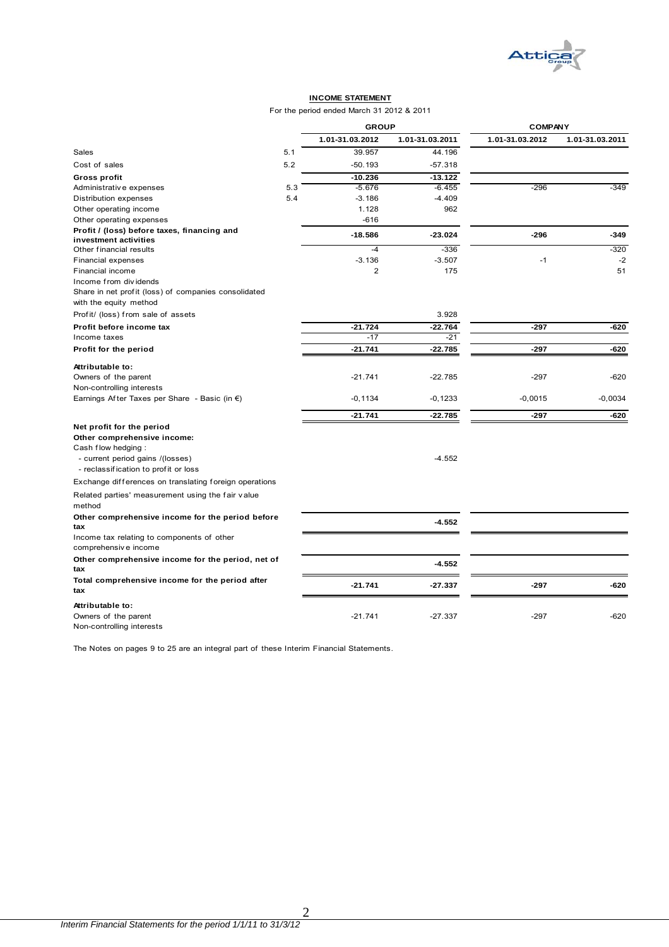

#### **INCOME STATEMENT**

For the period ended March 31 2012 & 2011

|                                                                                |     | <b>GROUP</b>    |                 | <b>COMPANY</b>  |                 |
|--------------------------------------------------------------------------------|-----|-----------------|-----------------|-----------------|-----------------|
|                                                                                |     | 1.01-31.03.2012 | 1.01-31.03.2011 | 1.01-31.03.2012 | 1.01-31.03.2011 |
| Sales                                                                          | 5.1 | 39.957          | 44.196          |                 |                 |
| Cost of sales                                                                  | 5.2 | $-50.193$       | $-57.318$       |                 |                 |
| <b>Gross profit</b>                                                            |     | $-10.236$       | $-13.122$       |                 |                 |
| Administrative expenses                                                        | 5.3 | $-5.676$        | $-6.455$        | $-296$          | $-349$          |
| Distribution expenses                                                          | 5.4 | $-3.186$        | $-4.409$        |                 |                 |
| Other operating income                                                         |     | 1.128           | 962             |                 |                 |
| Other operating expenses                                                       |     | $-616$          |                 |                 |                 |
| Profit / (loss) before taxes, financing and                                    |     | $-18.586$       | $-23.024$       | $-296$          | -349            |
| investment activities                                                          |     |                 |                 |                 |                 |
| Other financial results                                                        |     | $-4$            | $-336$          |                 | $-320$          |
| Financial expenses                                                             |     | $-3.136$        | $-3.507$        | $-1$            | $-2$            |
| Financial income                                                               |     | $\overline{2}$  | 175             |                 | 51              |
| Income from dividends                                                          |     |                 |                 |                 |                 |
| Share in net profit (loss) of companies consolidated<br>with the equity method |     |                 |                 |                 |                 |
| Profit/ (loss) from sale of assets                                             |     |                 | 3.928           |                 |                 |
| Profit before income tax                                                       |     | $-21.724$       | $-22.764$       | $-297$          | -620            |
| Income taxes                                                                   |     | $-17$           | $-21$           |                 |                 |
| Profit for the period                                                          |     | $-21.741$       | $-22.785$       | $-297$          | -620            |
| Attributable to:                                                               |     |                 |                 |                 |                 |
| Owners of the parent                                                           |     | $-21.741$       | $-22.785$       | $-297$          | -620            |
| Non-controlling interests                                                      |     |                 |                 |                 |                 |
| Earnings After Taxes per Share - Basic (in $\epsilon$ )                        |     | $-0, 1134$      | $-0,1233$       | $-0,0015$       | $-0,0034$       |
|                                                                                |     |                 |                 |                 |                 |
|                                                                                |     | $-21.741$       | $-22.785$       | $-297$          | -620            |
| Net profit for the period                                                      |     |                 |                 |                 |                 |
| Other comprehensive income:                                                    |     |                 |                 |                 |                 |
| Cash flow hedging:                                                             |     |                 | $-4.552$        |                 |                 |
| - current period gains /(losses)<br>- reclassification to profit or loss       |     |                 |                 |                 |                 |
|                                                                                |     |                 |                 |                 |                 |
| Exchange differences on translating foreign operations                         |     |                 |                 |                 |                 |
| Related parties' measurement using the fair value<br>method                    |     |                 |                 |                 |                 |
| Other comprehensive income for the period before<br>tax                        |     |                 | $-4.552$        |                 |                 |
| Income tax relating to components of other                                     |     |                 |                 |                 |                 |
| comprehensive income                                                           |     |                 |                 |                 |                 |
| Other comprehensive income for the period, net of                              |     |                 |                 |                 |                 |
| tax                                                                            |     |                 | $-4.552$        |                 |                 |
| Total comprehensive income for the period after                                |     |                 |                 |                 |                 |
| tax                                                                            |     | $-21.741$       | $-27.337$       | $-297$          | -620            |
| Attributable to:                                                               |     |                 |                 |                 |                 |
| Owners of the parent                                                           |     | $-21.741$       | $-27.337$       | $-297$          | $-620$          |
| Non-controlling interests                                                      |     |                 |                 |                 |                 |

The Notes on pages 9 to 25 are an integral part of these Interim Financial Statements.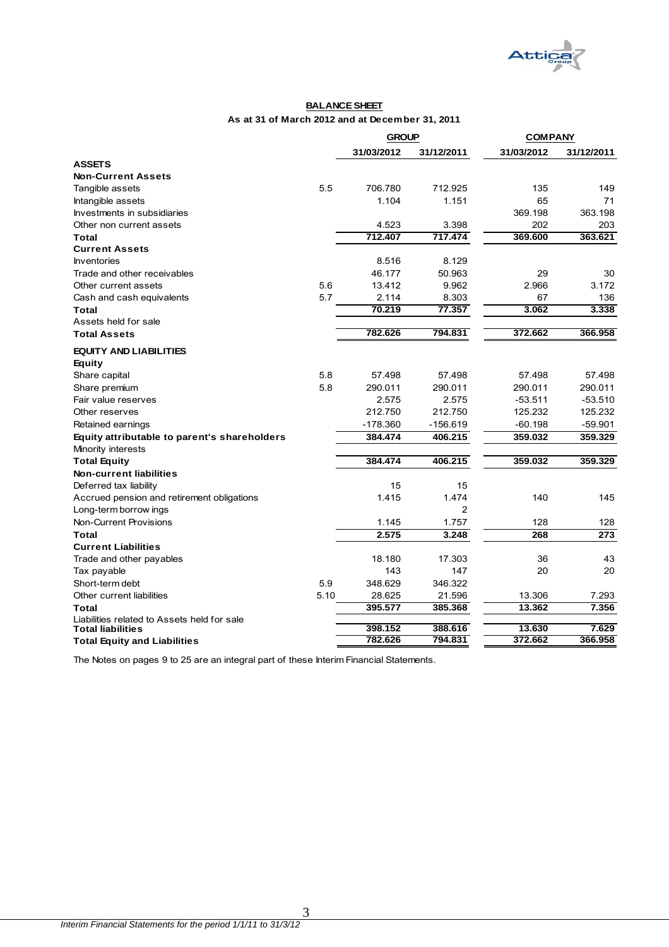

#### **BALANCE SHEET As at 31 of March 2012 and at December 31, 2011**

|                                              |      | <b>GROUP</b> |                | <b>COMPANY</b> |            |
|----------------------------------------------|------|--------------|----------------|----------------|------------|
|                                              |      | 31/03/2012   | 31/12/2011     | 31/03/2012     | 31/12/2011 |
| <b>ASSETS</b>                                |      |              |                |                |            |
| <b>Non-Current Assets</b>                    |      |              |                |                |            |
| Tangible assets                              | 5.5  | 706.780      | 712.925        | 135            | 149        |
| Intangible assets                            |      | 1.104        | 1.151          | 65             | 71         |
| Investments in subsidiaries                  |      |              |                | 369.198        | 363.198    |
| Other non current assets                     |      | 4.523        | 3.398          | 202            | 203        |
| Total                                        |      | 712.407      | 717.474        | 369.600        | 363.621    |
| <b>Current Assets</b>                        |      |              |                |                |            |
| <b>Inventories</b>                           |      | 8.516        | 8.129          |                |            |
| Trade and other receivables                  |      | 46.177       | 50.963         | 29             | 30         |
| Other current assets                         | 5.6  | 13.412       | 9.962          | 2.966          | 3.172      |
| Cash and cash equivalents                    | 5.7  | 2.114        | 8.303          | 67             | 136        |
| <b>Total</b>                                 |      | 70.219       | 77.357         | 3.062          | 3.338      |
| Assets held for sale                         |      |              |                |                |            |
| <b>Total Assets</b>                          |      | 782.626      | 794.831        | 372.662        | 366.958    |
| <b>EQUITY AND LIABILITIES</b>                |      |              |                |                |            |
| Equity                                       |      |              |                |                |            |
| Share capital                                | 5.8  | 57.498       | 57.498         | 57.498         | 57.498     |
| Share premium                                | 5.8  | 290.011      | 290.011        | 290.011        | 290.011    |
| Fair value reserves                          |      | 2.575        | 2.575          | $-53.511$      | $-53.510$  |
| Other reserves                               |      | 212.750      | 212.750        | 125.232        | 125.232    |
| Retained earnings                            |      | $-178.360$   | $-156.619$     | $-60.198$      | $-59.901$  |
| Equity attributable to parent's shareholders |      | 384.474      | 406.215        | 359.032        | 359.329    |
| Minority interests                           |      |              |                |                |            |
| <b>Total Equity</b>                          |      | 384.474      | 406.215        | 359.032        | 359.329    |
| <b>Non-current liabilities</b>               |      |              |                |                |            |
| Deferred tax liability                       |      | 15           | 15             |                |            |
| Accrued pension and retirement obligations   |      | 1.415        | 1.474          | 140            | 145        |
| Long-term borrow ings                        |      |              | $\overline{2}$ |                |            |
| Non-Current Provisions                       |      | 1.145        | 1.757          | 128            | 128        |
| <b>Total</b>                                 |      | 2.575        | 3.248          | 268            | 273        |
| <b>Current Liabilities</b>                   |      |              |                |                |            |
| Trade and other payables                     |      | 18.180       | 17.303         | 36             | 43         |
| Tax payable                                  |      | 143          | 147            | 20             | 20         |
| Short-term debt                              | 5.9  | 348.629      | 346.322        |                |            |
| Other current liabilities                    | 5.10 | 28.625       | 21.596         | 13.306         | 7.293      |
| Total                                        |      | 395.577      | 385.368        | 13.362         | 7.356      |
| Liabilities related to Assets held for sale  |      |              |                |                |            |
| <b>Total liabilities</b>                     |      | 398.152      | 388.616        | 13.630         | 7.629      |
| <b>Total Equity and Liabilities</b>          |      | 782.626      | 794.831        | 372.662        | 366.958    |

The Notes on pages 9 to 25 are an integral part of these Interim Financial Statements.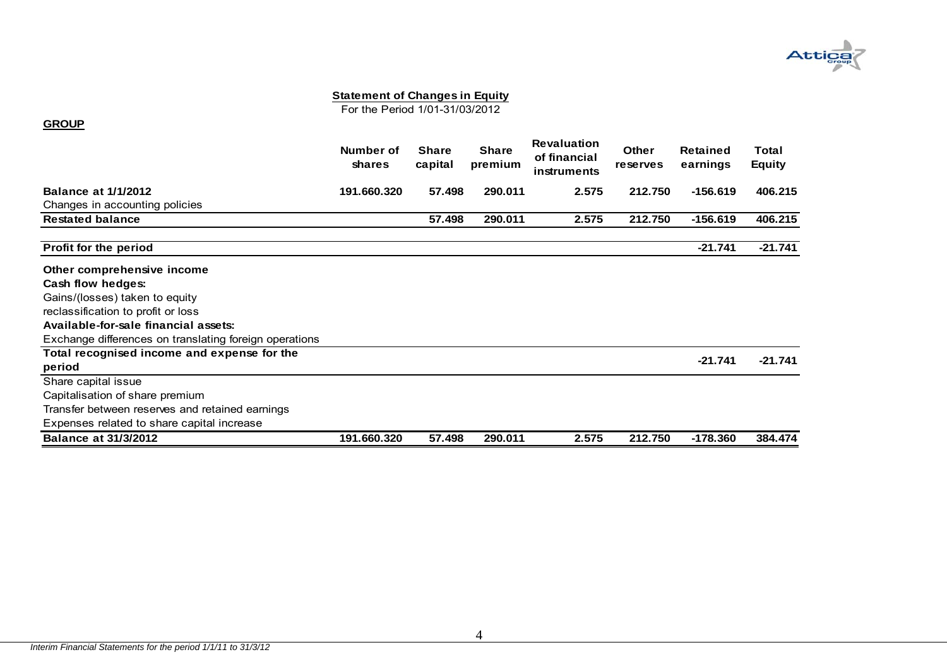

For the Period 1/01-31/03/2012

#### **GROUP**

|                                                        | Number of<br>shares | <b>Share</b><br>capital | <b>Share</b><br>premium | <b>Revaluation</b><br>of financial<br>instruments | <b>Other</b><br><b>reserves</b> | Retained<br>earnings | Total<br><b>Equity</b> |
|--------------------------------------------------------|---------------------|-------------------------|-------------------------|---------------------------------------------------|---------------------------------|----------------------|------------------------|
| <b>Balance at 1/1/2012</b>                             | 191.660.320         | 57.498                  | 290.011                 | 2.575                                             | 212.750                         | $-156.619$           | 406.215                |
| Changes in accounting policies                         |                     |                         |                         |                                                   |                                 |                      |                        |
| <b>Restated balance</b>                                |                     | 57.498                  | 290.011                 | 2.575                                             | 212.750                         | $-156.619$           | 406.215                |
| Profit for the period                                  |                     |                         |                         |                                                   |                                 | $-21.741$            | $-21.741$              |
| Other comprehensive income                             |                     |                         |                         |                                                   |                                 |                      |                        |
| Cash flow hedges:                                      |                     |                         |                         |                                                   |                                 |                      |                        |
| Gains/(losses) taken to equity                         |                     |                         |                         |                                                   |                                 |                      |                        |
| reclassification to profit or loss                     |                     |                         |                         |                                                   |                                 |                      |                        |
| Available-for-sale financial assets:                   |                     |                         |                         |                                                   |                                 |                      |                        |
| Exchange differences on translating foreign operations |                     |                         |                         |                                                   |                                 |                      |                        |
| Total recognised income and expense for the<br>period  |                     |                         |                         |                                                   |                                 | $-21.741$            | $-21.741$              |
| Share capital issue                                    |                     |                         |                         |                                                   |                                 |                      |                        |
| Capitalisation of share premium                        |                     |                         |                         |                                                   |                                 |                      |                        |
| Transfer between reserves and retained earnings        |                     |                         |                         |                                                   |                                 |                      |                        |
| Expenses related to share capital increase             |                     |                         |                         |                                                   |                                 |                      |                        |
| <b>Balance at 31/3/2012</b>                            | 191.660.320         | 57.498                  | 290.011                 | 2.575                                             | 212.750                         | $-178.360$           | 384.474                |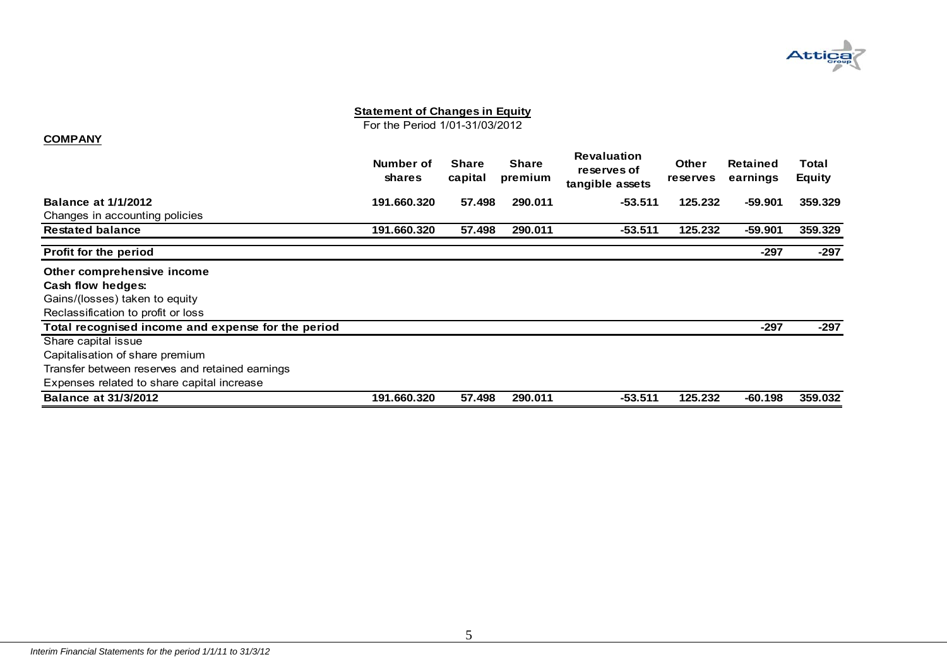

For the Period 1/01-31/03/2012

#### **COMPANY**

|                                                    | Number of<br><b>shares</b> | <b>Share</b><br>capital | <b>Share</b><br>premium | <b>Revaluation</b><br>reserves of<br>tangible assets | <b>Other</b><br>reserves | Retained<br>earnings | Total<br><b>Equity</b> |
|----------------------------------------------------|----------------------------|-------------------------|-------------------------|------------------------------------------------------|--------------------------|----------------------|------------------------|
| <b>Balance at 1/1/2012</b>                         | 191.660.320                | 57.498                  | 290.011                 | $-53.511$                                            | 125.232                  | $-59.901$            | 359.329                |
| Changes in accounting policies                     |                            |                         |                         |                                                      |                          |                      |                        |
| <b>Restated balance</b>                            | 191.660.320                | 57.498                  | 290.011                 | $-53.511$                                            | 125.232                  | $-59.901$            | 359.329                |
| <b>Profit for the period</b>                       |                            |                         |                         |                                                      |                          | -297                 | -297                   |
| Other comprehensive income                         |                            |                         |                         |                                                      |                          |                      |                        |
| Cash flow hedges:                                  |                            |                         |                         |                                                      |                          |                      |                        |
| Gains/(losses) taken to equity                     |                            |                         |                         |                                                      |                          |                      |                        |
| Reclassification to profit or loss                 |                            |                         |                         |                                                      |                          |                      |                        |
| Total recognised income and expense for the period |                            |                         |                         |                                                      |                          | -297                 | $-297$                 |
| Share capital issue                                |                            |                         |                         |                                                      |                          |                      |                        |
| Capitalisation of share premium                    |                            |                         |                         |                                                      |                          |                      |                        |
| Transfer between reserves and retained earnings    |                            |                         |                         |                                                      |                          |                      |                        |
| Expenses related to share capital increase         |                            |                         |                         |                                                      |                          |                      |                        |
| <b>Balance at 31/3/2012</b>                        | 191.660.320                | 57.498                  | 290.011                 | $-53.511$                                            | 125.232                  | -60.198              | 359.032                |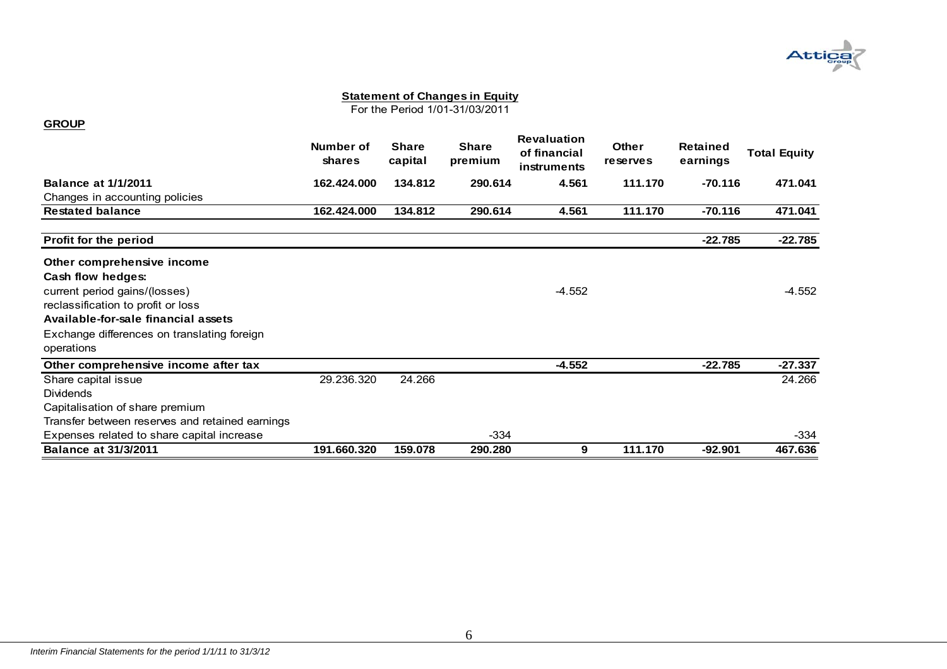

For the Period 1/01-31/03/2011

|                                                           | Number of<br>shares | <b>Share</b><br>capital | <b>Share</b><br>premium | <b>Revaluation</b><br>of financial<br>instruments | <b>Other</b><br>reserves | Retained<br>earnings | <b>Total Equity</b> |
|-----------------------------------------------------------|---------------------|-------------------------|-------------------------|---------------------------------------------------|--------------------------|----------------------|---------------------|
| <b>Balance at 1/1/2011</b>                                | 162.424.000         | 134.812                 | 290.614                 | 4.561                                             | 111.170                  | $-70.116$            | 471.041             |
| Changes in accounting policies                            |                     |                         |                         |                                                   |                          |                      |                     |
| <b>Restated balance</b>                                   | 162.424.000         | 134.812                 | 290.614                 | 4.561                                             | 111.170                  | $-70.116$            | 471.041             |
| Profit for the period                                     |                     |                         |                         |                                                   |                          | $-22.785$            | $-22.785$           |
| Other comprehensive income                                |                     |                         |                         |                                                   |                          |                      |                     |
| Cash flow hedges:                                         |                     |                         |                         |                                                   |                          |                      |                     |
| current period gains/(losses)                             |                     |                         |                         | $-4.552$                                          |                          |                      | $-4.552$            |
| reclassification to profit or loss                        |                     |                         |                         |                                                   |                          |                      |                     |
| Available-for-sale financial assets                       |                     |                         |                         |                                                   |                          |                      |                     |
| Exchange differences on translating foreign<br>operations |                     |                         |                         |                                                   |                          |                      |                     |
| Other comprehensive income after tax                      |                     |                         |                         | $-4.552$                                          |                          | $-22.785$            | $-27.337$           |
| Share capital issue                                       | 29.236.320          | 24.266                  |                         |                                                   |                          |                      | 24.266              |
| <b>Dividends</b>                                          |                     |                         |                         |                                                   |                          |                      |                     |
| Capitalisation of share premium                           |                     |                         |                         |                                                   |                          |                      |                     |
| Transfer between reserves and retained earnings           |                     |                         |                         |                                                   |                          |                      |                     |
| Expenses related to share capital increase                |                     |                         | $-334$                  |                                                   |                          |                      | -334                |
| <b>Balance at 31/3/2011</b>                               | 191.660.320         | 159.078                 | 290.280                 | 9                                                 | 111.170                  | $-92.901$            | 467.636             |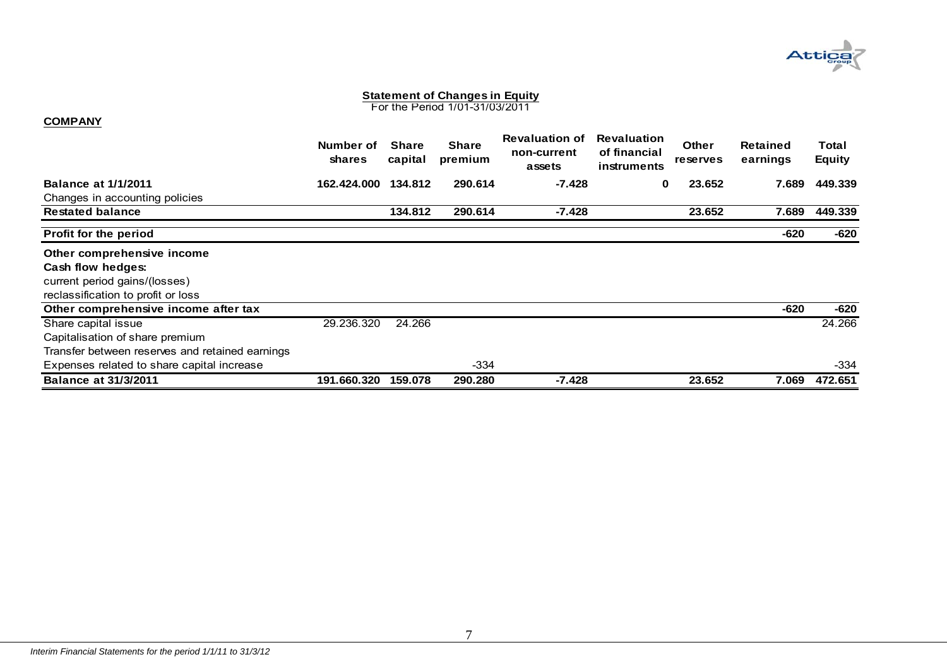

For the Period 1/01-31/03/2011

#### **COMPANY**

|                                                 | Number of<br><b>shares</b> | <b>Share</b><br>capital | <b>Share</b><br>premium | <b>Revaluation of</b><br>non-current<br>assets | <b>Revaluation</b><br>of financial<br>instruments | <b>Other</b><br><b>reserves</b> | Retained<br>earnings | Total<br><b>Equity</b> |
|-------------------------------------------------|----------------------------|-------------------------|-------------------------|------------------------------------------------|---------------------------------------------------|---------------------------------|----------------------|------------------------|
| <b>Balance at 1/1/2011</b>                      | 162.424.000                | 134.812                 | 290.614                 | -7.428                                         | 0                                                 | 23.652                          | 7.689                | 449.339                |
| Changes in accounting policies                  |                            |                         |                         |                                                |                                                   |                                 |                      |                        |
| <b>Restated balance</b>                         |                            | 134.812                 | 290.614                 | -7.428                                         |                                                   | 23.652                          | 7.689                | 449.339                |
| <b>Profit for the period</b>                    |                            |                         |                         |                                                |                                                   |                                 | -620                 | -620                   |
| Other comprehensive income                      |                            |                         |                         |                                                |                                                   |                                 |                      |                        |
| Cash flow hedges:                               |                            |                         |                         |                                                |                                                   |                                 |                      |                        |
| current period gains/(losses)                   |                            |                         |                         |                                                |                                                   |                                 |                      |                        |
| reclassification to profit or loss              |                            |                         |                         |                                                |                                                   |                                 |                      |                        |
| Other comprehensive income after tax            |                            |                         |                         |                                                |                                                   |                                 | $-620$               | -620                   |
| Share capital issue                             | 29.236.320                 | 24.266                  |                         |                                                |                                                   |                                 |                      | 24.266                 |
| Capitalisation of share premium                 |                            |                         |                         |                                                |                                                   |                                 |                      |                        |
| Transfer between reserves and retained earnings |                            |                         |                         |                                                |                                                   |                                 |                      |                        |
| Expenses related to share capital increase      |                            |                         | $-334$                  |                                                |                                                   |                                 |                      | -334                   |
| <b>Balance at 31/3/2011</b>                     | 191.660.320                | 159.078                 | 290.280                 | $-7.428$                                       |                                                   | 23.652                          | 7.069                | 472.651                |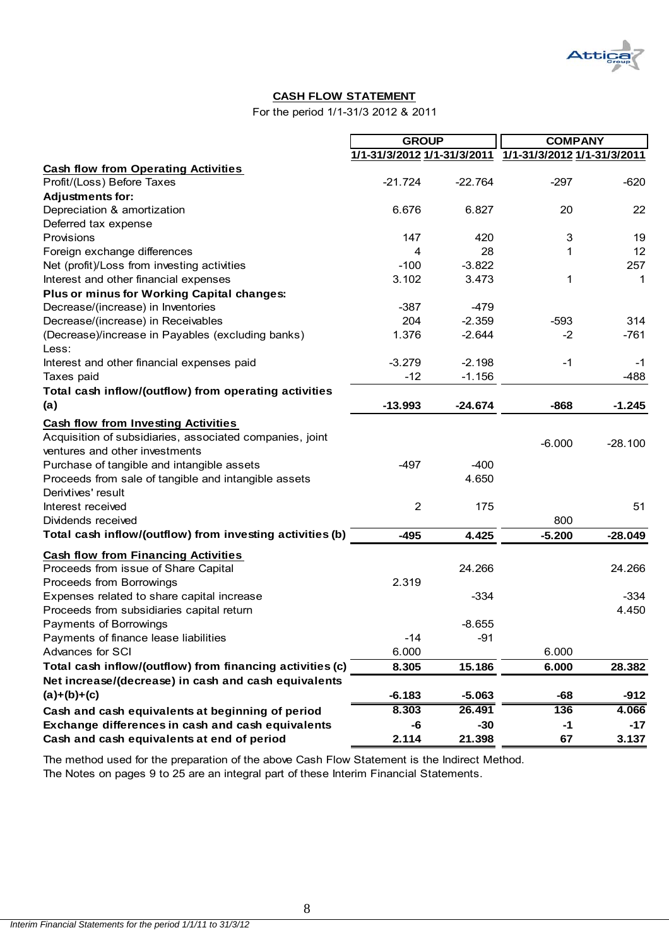

#### **CASH FLOW STATEMENT**

For the period 1/1-31/3 2012 & 2011

|                                                           |                             | <b>GROUP</b> |                             | <b>COMPANY</b> |  |
|-----------------------------------------------------------|-----------------------------|--------------|-----------------------------|----------------|--|
|                                                           | 1/1-31/3/2012 1/1-31/3/2011 |              | 1/1-31/3/2012 1/1-31/3/2011 |                |  |
| <b>Cash flow from Operating Activities</b>                |                             |              |                             |                |  |
| Profit/(Loss) Before Taxes                                | $-21.724$                   | $-22.764$    | $-297$                      | $-620$         |  |
| <b>Adjustments for:</b>                                   |                             |              |                             |                |  |
| Depreciation & amortization                               | 6.676                       | 6.827        | 20                          | 22             |  |
| Deferred tax expense                                      |                             |              |                             |                |  |
| Provisions                                                | 147                         | 420          | 3                           | 19             |  |
| Foreign exchange differences                              | 4                           | 28           | 1                           | 12             |  |
| Net (profit)/Loss from investing activities               | $-100$                      | $-3.822$     |                             | 257            |  |
| Interest and other financial expenses                     | 3.102                       | 3.473        | 1                           | 1              |  |
| Plus or minus for Working Capital changes:                |                             |              |                             |                |  |
| Decrease/(increase) in Inventories                        | $-387$                      | $-479$       |                             |                |  |
| Decrease/(increase) in Receivables                        | 204                         | $-2.359$     | $-593$                      | 314            |  |
| (Decrease)/increase in Payables (excluding banks)         | 1.376                       | $-2.644$     | $-2$                        | $-761$         |  |
| Less:                                                     |                             |              |                             |                |  |
| Interest and other financial expenses paid                | $-3.279$                    | $-2.198$     | $-1$                        | $-1$           |  |
| Taxes paid                                                | $-12$                       | $-1.156$     |                             | $-488$         |  |
| Total cash inflow/(outflow) from operating activities     |                             |              |                             |                |  |
| (a)                                                       | $-13.993$                   | $-24.674$    | $-868$                      | $-1.245$       |  |
| <b>Cash flow from Investing Activities</b>                |                             |              |                             |                |  |
| Acquisition of subsidiaries, associated companies, joint  |                             |              |                             |                |  |
| ventures and other investments                            |                             |              | $-6.000$                    | $-28.100$      |  |
| Purchase of tangible and intangible assets                | $-497$                      | $-400$       |                             |                |  |
| Proceeds from sale of tangible and intangible assets      |                             | 4.650        |                             |                |  |
| Derivtives' result                                        |                             |              |                             |                |  |
| Interest received                                         | $\overline{2}$              | 175          |                             | 51             |  |
| Dividends received                                        |                             |              | 800                         |                |  |
| Total cash inflow/(outflow) from investing activities (b) | $-495$                      | 4.425        | $-5.200$                    | $-28.049$      |  |
|                                                           |                             |              |                             |                |  |
| <b>Cash flow from Financing Activities</b>                |                             |              |                             |                |  |
| Proceeds from issue of Share Capital                      |                             | 24.266       |                             | 24.266         |  |
| Proceeds from Borrowings                                  | 2.319                       |              |                             |                |  |
| Expenses related to share capital increase                |                             | $-334$       |                             | $-334$         |  |
| Proceeds from subsidiaries capital return                 |                             |              |                             | 4.450          |  |
| Payments of Borrowings                                    |                             | $-8.655$     |                             |                |  |
| Payments of finance lease liabilities                     | $-14$                       | $-91$        |                             |                |  |
| Advances for SCI                                          | 6.000                       |              | 6.000                       |                |  |
| Total cash inflow/(outflow) from financing activities (c) | 8.305                       | 15.186       | 6.000                       | 28.382         |  |
| Net increase/(decrease) in cash and cash equivalents      |                             |              |                             |                |  |
| $(a)+(b)+(c)$                                             | $-6.183$                    | $-5.063$     | -68                         | $-912$         |  |
| Cash and cash equivalents at beginning of period          | 8.303                       | 26.491       | 136                         | 4.066          |  |
| Exchange differences in cash and cash equivalents         | -6                          | $-30$        | $-1$                        | $-17$          |  |
| Cash and cash equivalents at end of period                | 2.114                       | 21.398       | 67                          | 3.137          |  |

The method used for the preparation of the above Cash Flow Statement is the Indirect Method.

The Notes on pages 9 to 25 are an integral part of these Interim Financial Statements.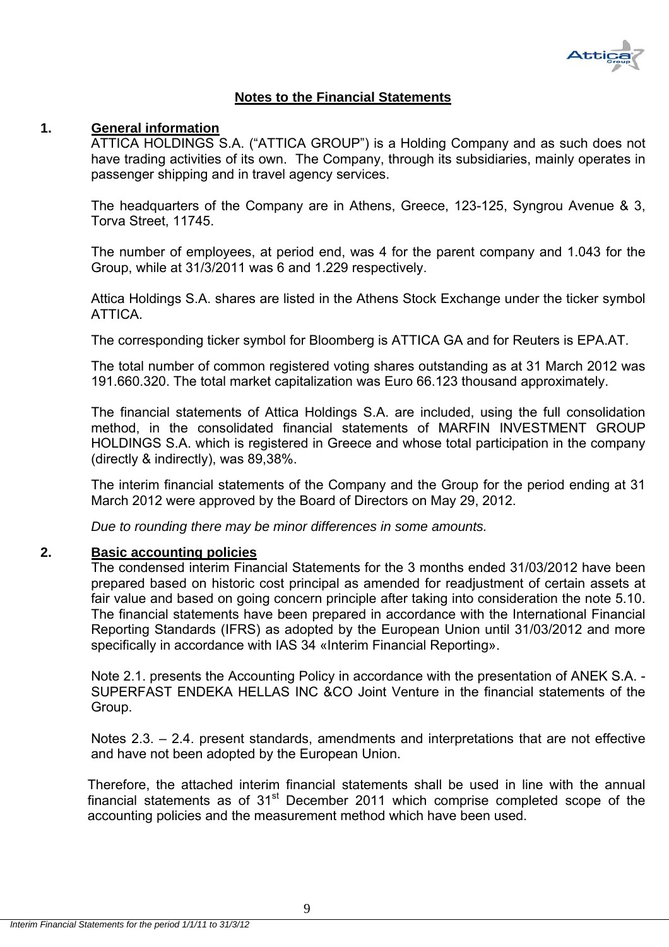

## **Notes to the Financial Statements**

#### **1. General information**

ATTICA HOLDINGS S.A. ("ATTICA GROUP") is a Holding Company and as such does not have trading activities of its own. The Company, through its subsidiaries, mainly operates in passenger shipping and in travel agency services.

The headquarters of the Company are in Athens, Greece, 123-125, Syngrou Avenue & 3, Torva Street, 11745.

The number of employees, at period end, was 4 for the parent company and 1.043 for the Group, while at 31/3/2011 was 6 and 1.229 respectively.

Attica Holdings S.A. shares are listed in the Athens Stock Exchange under the ticker symbol ATTICA.

The corresponding ticker symbol for Bloomberg is ATTICA GA and for Reuters is EPA.AT.

The total number of common registered voting shares outstanding as at 31 March 2012 was 191.660.320. The total market capitalization was Euro 66.123 thousand approximately.

The financial statements of Attica Holdings S.A. are included, using the full consolidation method, in the consolidated financial statements of MARFIN INVESTMENT GROUP HOLDINGS S.A. which is registered in Greece and whose total participation in the company (directly & indirectly), was 89,38%.

The interim financial statements of the Company and the Group for the period ending at 31 March 2012 were approved by the Board of Directors on May 29, 2012.

*Due to rounding there may be minor differences in some amounts.* 

#### **2. Basic accounting policies**

The condensed interim Financial Statements for the 3 months ended 31/03/2012 have been prepared based on historic cost principal as amended for readjustment of certain assets at fair value and based on going concern principle after taking into consideration the note 5.10. The financial statements have been prepared in accordance with the International Financial Reporting Standards (IFRS) as adopted by the European Union until 31/03/2012 and more specifically in accordance with IAS 34 «Interim Financial Reporting».

Note 2.1. presents the Accounting Policy in accordance with the presentation of ANEK S.A. - SUPERFAST ENDEKA HELLAS INC &CO Joint Venture in the financial statements of the Group.

Notes 2.3. – 2.4. present standards, amendments and interpretations that are not effective and have not been adopted by the European Union.

Therefore, the attached interim financial statements shall be used in line with the annual financial statements as of  $31<sup>st</sup>$  December 2011 which comprise completed scope of the accounting policies and the measurement method which have been used.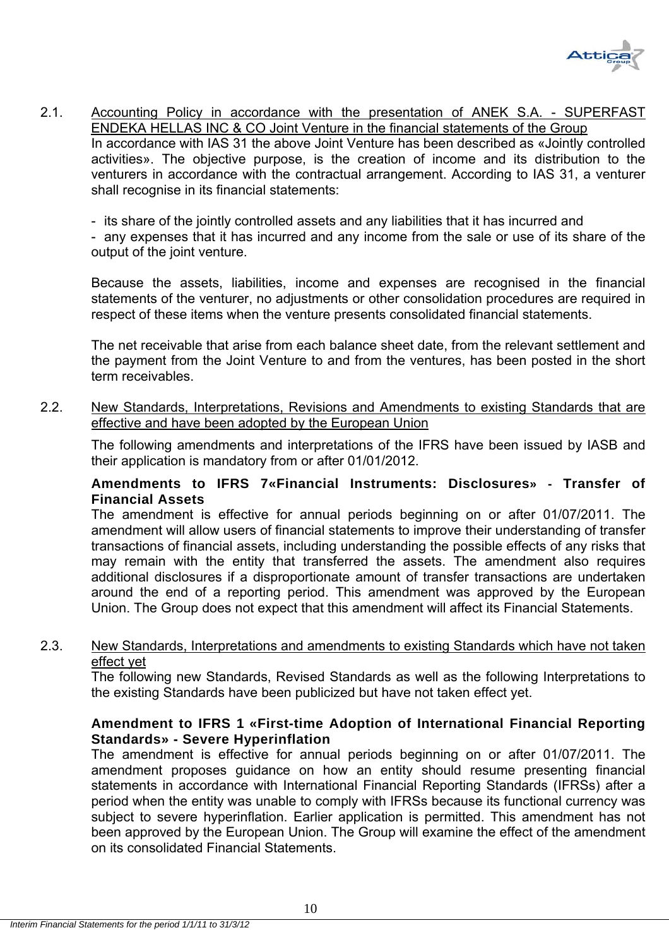

2.1. Accounting Policy in accordance with the presentation of ANEK S.A. - SUPERFAST ENDEKA HELLAS INC & CO Joint Venture in the financial statements of the Group In accordance with IAS 31 the above Joint Venture has been described as «Jointly controlled activities». The objective purpose, is the creation of income and its distribution to the venturers in accordance with the contractual arrangement. According to IAS 31, a venturer shall recognise in its financial statements:

- its share of the jointly controlled assets and any liabilities that it has incurred and

- any expenses that it has incurred and any income from the sale or use of its share of the output of the joint venture.

Because the assets, liabilities, income and expenses are recognised in the financial statements of the venturer, no adjustments or other consolidation procedures are required in respect of these items when the venture presents consolidated financial statements.

The net receivable that arise from each balance sheet date, from the relevant settlement and the payment from the Joint Venture to and from the ventures, has been posted in the short term receivables.

2.2. New Standards, Interpretations, Revisions and Amendments to existing Standards that are effective and have been adopted by the European Union

The following amendments and interpretations of the IFRS have been issued by IASB and their application is mandatory from or after 01/01/2012.

### **Amendments to IFRS 7«Financial Instruments: Disclosures» - Transfer of Financial Assets**

The amendment is effective for annual periods beginning on or after 01/07/2011. The amendment will allow users of financial statements to improve their understanding of transfer transactions of financial assets, including understanding the possible effects of any risks that may remain with the entity that transferred the assets. The amendment also requires additional disclosures if a disproportionate amount of transfer transactions are undertaken around the end of a reporting period. This amendment was approved by the European Union. The Group does not expect that this amendment will affect its Financial Statements.

#### 2.3.New Standards, Interpretations and amendments to existing Standards which have not taken effect yet

Τhe following new Standards, Revised Standards as well as the following Interpretations to the existing Standards have been publicized but have not taken effect yet.

## **Amendment to IFRS 1 «First-time Adoption of International Financial Reporting Standards» - Severe Hyperinflation**

The amendment is effective for annual periods beginning on or after 01/07/2011. The amendment proposes guidance on how an entity should resume presenting financial statements in accordance with International Financial Reporting Standards (IFRSs) after a period when the entity was unable to comply with IFRSs because its functional currency was subject to severe hyperinflation. Earlier application is permitted. This amendment has not been approved by the European Union. The Group will examine the effect of the amendment on its consolidated Financial Statements.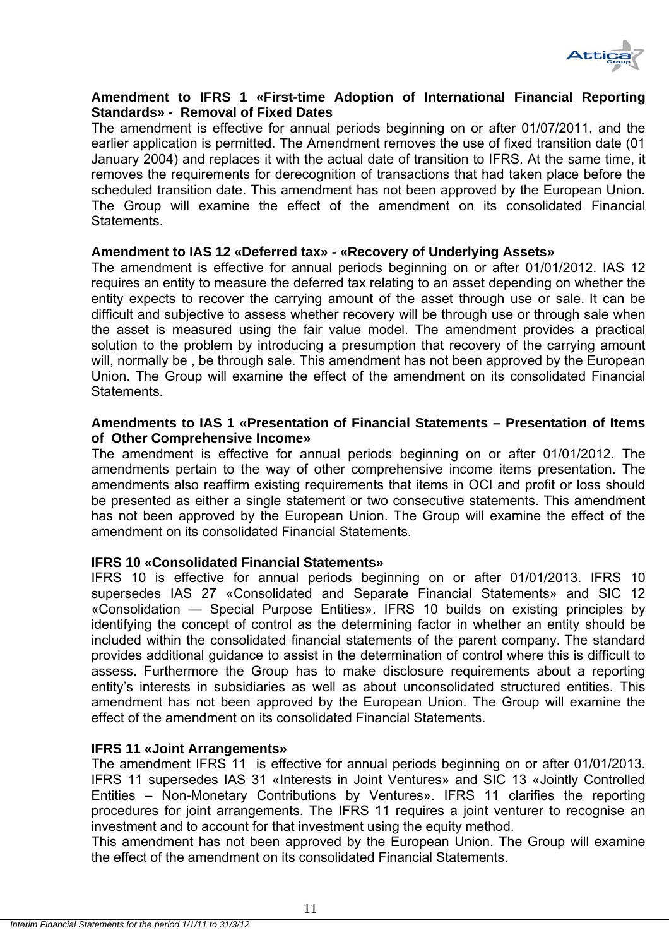

#### **Amendment to IFRS 1 «First-time Adoption of International Financial Reporting Standards» - Removal of Fixed Dates**

The amendment is effective for annual periods beginning on or after 01/07/2011, and the earlier application is permitted. The Amendment removes the use of fixed transition date (01 January 2004) and replaces it with the actual date of transition to IFRS. At the same time, it removes the requirements for derecognition of transactions that had taken place before the scheduled transition date. This amendment has not been approved by the European Union. The Group will examine the effect of the amendment on its consolidated Financial Statements.

#### **Amendment to IAS 12 «Deferred tax» - «Recovery of Underlying Assets»**

The amendment is effective for annual periods beginning on or after 01/01/2012. IAS 12 requires an entity to measure the deferred tax relating to an asset depending on whether the entity expects to recover the carrying amount of the asset through use or sale. It can be difficult and subjective to assess whether recovery will be through use or through sale when the asset is measured using the fair value model. The amendment provides a practical solution to the problem by introducing a presumption that recovery of the carrying amount will, normally be , be through sale. This amendment has not been approved by the European Union. The Group will examine the effect of the amendment on its consolidated Financial **Statements** 

#### **Amendments to IAS 1 «Presentation of Financial Statements – Presentation of Items of Other Comprehensive Income»**

The amendment is effective for annual periods beginning on or after 01/01/2012. The amendments pertain to the way of other comprehensive income items presentation. The amendments also reaffirm existing requirements that items in OCI and profit or loss should be presented as either a single statement or two consecutive statements. This amendment has not been approved by the European Union. The Group will examine the effect of the amendment on its consolidated Financial Statements.

### **IFRS 10 «Consolidated Financial Statements»**

IFRS 10 is effective for annual periods beginning on or after 01/01/2013. IFRS 10 supersedes IAS 27 «Consolidated and Separate Financial Statements» and SIC 12 «Consolidation — Special Purpose Entities». IFRS 10 builds on existing principles by identifying the concept of control as the determining factor in whether an entity should be included within the consolidated financial statements of the parent company. The standard provides additional guidance to assist in the determination of control where this is difficult to assess. Furthermore the Group has to make disclosure requirements about a reporting entity's interests in subsidiaries as well as about unconsolidated structured entities. This amendment has not been approved by the European Union. The Group will examine the effect of the amendment on its consolidated Financial Statements.

#### **IFRS 11 «Joint Arrangements»**

The amendment IFRS 11 is effective for annual periods beginning on or after 01/01/2013. IFRS 11 supersedes IAS 31 «Interests in Joint Ventures» and SIC 13 «Jointly Controlled Entities – Non-Monetary Contributions by Ventures». IFRS 11 clarifies the reporting procedures for joint arrangements. The IFRS 11 requires a joint venturer to recognise an investment and to account for that investment using the equity method.

This amendment has not been approved by the European Union. The Group will examine the effect of the amendment on its consolidated Financial Statements.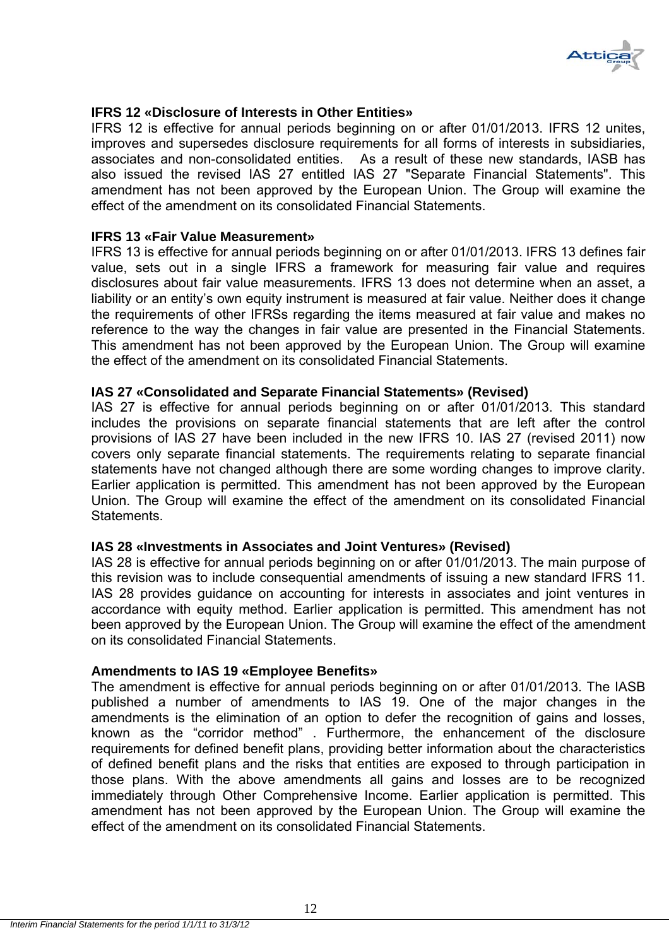

#### **IFRS 12 «Disclosure of Interests in Other Entities»**

IFRS 12 is effective for annual periods beginning on or after 01/01/2013. IFRS 12 unites, improves and supersedes disclosure requirements for all forms of interests in subsidiaries, associates and non-consolidated entities. As a result of these new standards, IASB has also issued the revised IAS 27 entitled IAS 27 "Separate Financial Statements". This amendment has not been approved by the European Union. The Group will examine the effect of the amendment on its consolidated Financial Statements.

#### **IFRS 13 «Fair Value Measurement»**

IFRS 13 is effective for annual periods beginning on or after 01/01/2013. IFRS 13 defines fair value, sets out in a single IFRS a framework for measuring fair value and requires disclosures about fair value measurements. IFRS 13 does not determine when an asset, a liability or an entity's own equity instrument is measured at fair value. Neither does it change the requirements of other IFRSs regarding the items measured at fair value and makes no reference to the way the changes in fair value are presented in the Financial Statements. This amendment has not been approved by the European Union. The Group will examine the effect of the amendment on its consolidated Financial Statements.

#### **IAS 27 «Consolidated and Separate Financial Statements» (Revised)**

IAS 27 is effective for annual periods beginning on or after 01/01/2013. This standard includes the provisions on separate financial statements that are left after the control provisions of IAS 27 have been included in the new IFRS 10. IAS 27 (revised 2011) now covers only separate financial statements. The requirements relating to separate financial statements have not changed although there are some wording changes to improve clarity. Earlier application is permitted. This amendment has not been approved by the European Union. The Group will examine the effect of the amendment on its consolidated Financial Statements.

#### **IAS 28 «Investments in Associates and Joint Ventures» (Revised)**

IAS 28 is effective for annual periods beginning on or after 01/01/2013. The main purpose of this revision was to include consequential amendments of issuing a new standard IFRS 11. IAS 28 provides guidance on accounting for interests in associates and joint ventures in accordance with equity method. Earlier application is permitted. This amendment has not been approved by the European Union. The Group will examine the effect of the amendment on its consolidated Financial Statements.

#### **Amendments to IAS 19 «Employee Benefits»**

The amendment is effective for annual periods beginning on or after 01/01/2013. The IASB published a number of amendments to IAS 19. One of the major changes in the amendments is the elimination of an option to defer the recognition of gains and losses, known as the "corridor method" . Furthermore, the enhancement of the disclosure requirements for defined benefit plans, providing better information about the characteristics of defined benefit plans and the risks that entities are exposed to through participation in those plans. With the above amendments all gains and losses are to be recognized immediately through Other Comprehensive Income. Earlier application is permitted. This amendment has not been approved by the European Union. The Group will examine the effect of the amendment on its consolidated Financial Statements.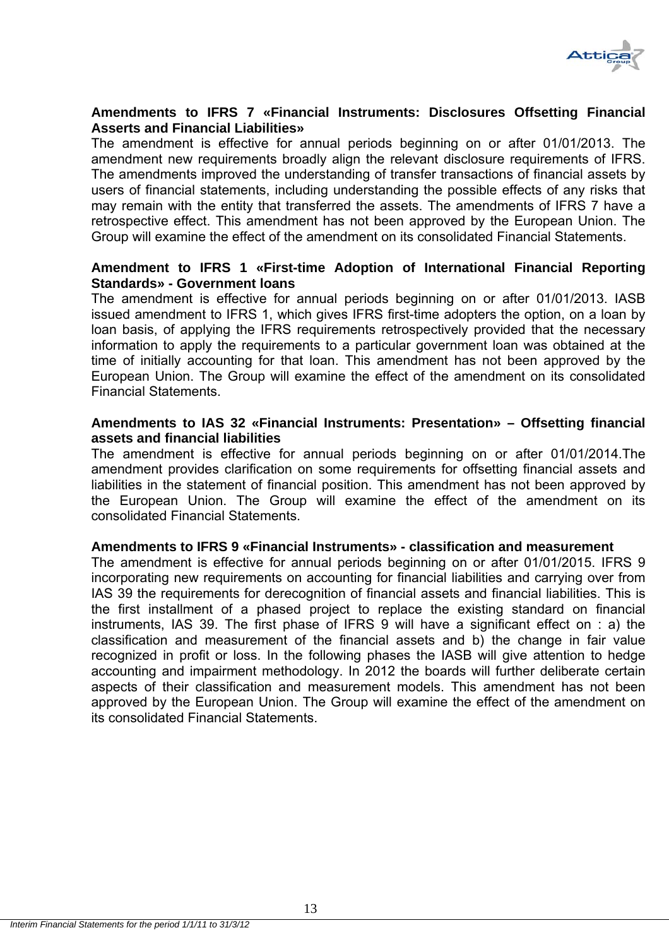

## **Amendments to IFRS 7 «Financial Instruments: Disclosures Offsetting Financial Asserts and Financial Liabilities»**

The amendment is effective for annual periods beginning on or after 01/01/2013. The amendment new requirements broadly align the relevant disclosure requirements of IFRS. The amendments improved the understanding of transfer transactions of financial assets by users of financial statements, including understanding the possible effects of any risks that may remain with the entity that transferred the assets. The amendments of IFRS 7 have a retrospective effect. This amendment has not been approved by the European Union. The Group will examine the effect of the amendment on its consolidated Financial Statements.

## **Amendment to IFRS 1 «First-time Adoption of International Financial Reporting Standards» - Government loans**

The amendment is effective for annual periods beginning on or after 01/01/2013. IASB issued amendment to IFRS 1, which gives IFRS first-time adopters the option, on a loan by loan basis, of applying the IFRS requirements retrospectively provided that the necessary information to apply the requirements to a particular government loan was obtained at the time of initially accounting for that loan. This amendment has not been approved by the European Union. The Group will examine the effect of the amendment on its consolidated Financial Statements.

#### **Amendments to IAS 32 «Financial Instruments: Presentation» – Offsetting financial assets and financial liabilities**

The amendment is effective for annual periods beginning on or after 01/01/2014.The amendment provides clarification on some requirements for offsetting financial assets and liabilities in the statement of financial position. This amendment has not been approved by the European Union. The Group will examine the effect of the amendment on its consolidated Financial Statements.

### **Amendments to IFRS 9 «Financial Instruments» - classification and measurement**

The amendment is effective for annual periods beginning on or after 01/01/2015. IFRS 9 incorporating new requirements on accounting for financial liabilities and carrying over from IAS 39 the requirements for derecognition of financial assets and financial liabilities. This is the first installment of a phased project to replace the existing standard on financial instruments, IAS 39. The first phase of ΙFRS 9 will have a significant effect on : a) the classification and measurement of the financial assets and b) the change in fair value recognized in profit or loss. In the following phases the IASB will give attention to hedge accounting and impairment methodology. In 2012 the boards will further deliberate certain aspects of their classification and measurement models. This amendment has not been approved by the European Union. The Group will examine the effect of the amendment on its consolidated Financial Statements.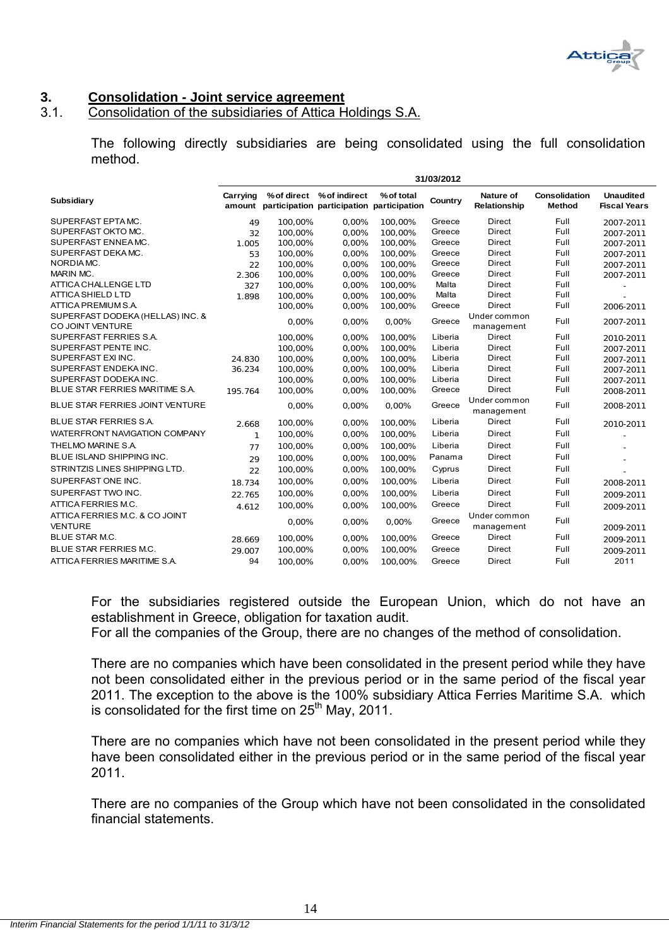

## **3. Consolidation - Joint service agreement**

## 3.1. Consolidation of the subsidiaries of Attica Holdings S.A.

The following directly subsidiaries are being consolidated using the full consolidation method.

**31/03/2012**

|                                                      | 31/03/2012 |                                                  |                           |            |         |                                  |                                |                                         |
|------------------------------------------------------|------------|--------------------------------------------------|---------------------------|------------|---------|----------------------------------|--------------------------------|-----------------------------------------|
| Subsidiary                                           | Carrying   | amount participation participation participation | % of direct % of indirect | % of total | Country | Nature of<br><b>Relationship</b> | Consolidation<br><b>Method</b> | <b>Unaudited</b><br><b>Fiscal Years</b> |
| SUPERFAST EPTAMC.                                    | 49         | 100,00%                                          | 0,00%                     | 100.00%    | Greece  | <b>Direct</b>                    | Full                           | 2007-2011                               |
| SUPERFAST OKTO MC.                                   | 32         | 100.00%                                          | 0.00%                     | 100.00%    | Greece  | <b>Direct</b>                    | Full                           | 2007-2011                               |
| SUPERFAST ENNEA MC.                                  | 1.005      | 100,00%                                          | 0,00%                     | 100,00%    | Greece  | <b>Direct</b>                    | Full                           | 2007-2011                               |
| SUPERFAST DEKAMC.                                    | 53         | 100,00%                                          | 0,00%                     | 100,00%    | Greece  | <b>Direct</b>                    | Full                           | 2007-2011                               |
| NORDIA MC.                                           | 22         | 100,00%                                          | 0,00%                     | 100,00%    | Greece  | <b>Direct</b>                    | Full                           | 2007-2011                               |
| MARIN MC.                                            | 2.306      | 100.00%                                          | 0.00%                     | 100.00%    | Greece  | <b>Direct</b>                    | Full                           | 2007-2011                               |
| <b>ATTICA CHALLENGE LTD</b>                          | 327        | 100.00%                                          | 0.00%                     | 100.00%    | Malta   | <b>Direct</b>                    | Full                           |                                         |
| <b>ATTICA SHIELD LTD</b>                             | 1.898      | 100.00%                                          | 0.00%                     | 100,00%    | Malta   | <b>Direct</b>                    | Full                           |                                         |
| ATTICA PREMIUM S.A.                                  |            | 100,00%                                          | 0,00%                     | 100,00%    | Greece  | <b>Direct</b>                    | Full                           | 2006-2011                               |
| SUPERFAST DODEKA (HELLAS) INC. &<br>CO JOINT VENTURE |            | 0,00%                                            | 0,00%                     | 0,00%      | Greece  | Under common<br>management       | Full                           | 2007-2011                               |
| SUPERFAST FERRIES S.A.                               |            | 100.00%                                          | 0.00%                     | 100,00%    | Liberia | <b>Direct</b>                    | Full                           | 2010-2011                               |
| SUPERFAST PENTE INC.                                 |            | 100.00%                                          | 0.00%                     | 100,00%    | Liberia | <b>Direct</b>                    | Full                           | 2007-2011                               |
| SUPERFAST EXI INC.                                   | 24.830     | 100,00%                                          | 0,00%                     | 100,00%    | Liberia | <b>Direct</b>                    | Full                           | 2007-2011                               |
| SUPERFAST ENDEKA INC.                                | 36.234     | 100,00%                                          | 0,00%                     | 100,00%    | Liberia | <b>Direct</b>                    | Full                           | 2007-2011                               |
| SUPERFAST DODEKA INC.                                |            | 100,00%                                          | 0,00%                     | 100,00%    | Liberia | <b>Direct</b>                    | Full                           | 2007-2011                               |
| BLUE STAR FERRIES MARITIME S.A.                      | 195.764    | 100.00%                                          | 0,00%                     | 100,00%    | Greece  | <b>Direct</b>                    | Full                           | 2008-2011                               |
| BLUE STAR FERRIES JOINT VENTURE                      |            | 0,00%                                            | 0,00%                     | 0,00%      | Greece  | Under common<br>management       | Full                           | 2008-2011                               |
| <b>BLUE STAR FERRIES S.A.</b>                        | 2.668      | 100,00%                                          | 0,00%                     | 100,00%    | Liberia | Direct                           | Full                           | 2010-2011                               |
| WATERFRONT NAVIGATION COMPANY                        | 1          | 100,00%                                          | 0,00%                     | 100,00%    | Liberia | <b>Direct</b>                    | Full                           |                                         |
| THELMO MARINE S.A.                                   | 77         | 100,00%                                          | 0,00%                     | 100,00%    | Liberia | <b>Direct</b>                    | Full                           |                                         |
| BLUE ISLAND SHIPPING INC.                            | 29         | 100,00%                                          | 0,00%                     | 100,00%    | Panama  | <b>Direct</b>                    | Full                           |                                         |
| STRINTZIS LINES SHIPPING LTD.                        | 22         | 100,00%                                          | 0,00%                     | 100,00%    | Cyprus  | <b>Direct</b>                    | Full                           |                                         |
| SUPERFAST ONE INC.                                   | 18.734     | 100,00%                                          | 0,00%                     | 100,00%    | Liberia | <b>Direct</b>                    | Full                           | 2008-2011                               |
| SUPERFAST TWO INC.                                   | 22.765     | 100,00%                                          | 0,00%                     | 100,00%    | Liberia | <b>Direct</b>                    | Full                           | 2009-2011                               |
| ATTICA FERRIES M.C.                                  | 4.612      | 100,00%                                          | 0,00%                     | 100,00%    | Greece  | <b>Direct</b>                    | Full                           | 2009-2011                               |
| ATTICA FERRIES M.C. & CO JOINT<br><b>VENTURE</b>     |            | 0,00%                                            | 0,00%                     | 0,00%      | Greece  | Under common<br>management       | Full                           | 2009-2011                               |
| <b>BLUE STAR M.C.</b>                                | 28.669     | 100,00%                                          | 0,00%                     | 100,00%    | Greece  | <b>Direct</b>                    | Full                           | 2009-2011                               |
| <b>BLUE STAR FERRIES M.C.</b>                        | 29.007     | 100,00%                                          | 0,00%                     | 100,00%    | Greece  | <b>Direct</b>                    | Full                           | 2009-2011                               |
| ATTICA FERRIES MARITIME S.A.                         | 94         | 100,00%                                          | 0.00%                     | 100.00%    | Greece  | <b>Direct</b>                    | Full                           | 2011                                    |

For the subsidiaries registered outside the European Union, which do not have an establishment in Greece, obligation for taxation audit.

For all the companies of the Group, there are no changes of the method of consolidation.

There are no companies which have been consolidated in the present period while they have not been consolidated either in the previous period or in the same period of the fiscal year 2011. The exception to the above is the 100% subsidiary Attica Ferries Maritime S.A. which is consolidated for the first time on  $25<sup>th</sup>$  May, 2011.

There are no companies which have not been consolidated in the present period while they have been consolidated either in the previous period or in the same period of the fiscal year 2011.

There are no companies of the Group which have not been consolidated in the consolidated financial statements.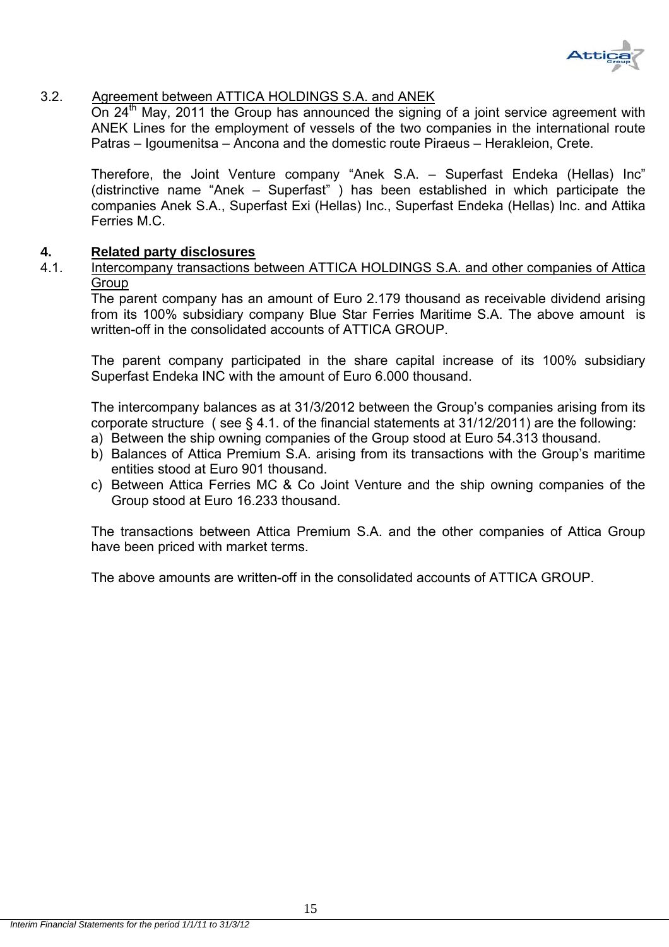

## 3.2. Agreement between ATTICA HOLDINGS S.A. and ANEK

On  $24<sup>th</sup>$  May, 2011 the Group has announced the signing of a joint service agreement with ANEK Lines for the employment of vessels of the two companies in the international route Patras – Igoumenitsa – Ancona and the domestic route Piraeus – Herakleion, Crete.

Therefore, the Joint Venture company "Anek S.A. – Superfast Endeka (Hellas) Inc" (distrinctive name "Anek – Superfast" ) has been established in which participate the companies Anek S.A., Superfast Exi (Hellas) Inc., Superfast Endeka (Hellas) Inc. and Attika Ferries M.C.

### **4. Related party disclosures**

4.1. Intercompany transactions between ATTICA HOLDINGS S.A. and other companies of Attica **Group** 

The parent company has an amount of Euro 2.179 thousand as receivable dividend arising from its 100% subsidiary company Blue Star Ferries Maritime S.A. The above amount is written-off in the consolidated accounts of ATTICA GROUP.

The parent company participated in the share capital increase of its 100% subsidiary Superfast Endeka INC with the amount of Euro 6.000 thousand.

The intercompany balances as at 31/3/2012 between the Group's companies arising from its corporate structure ( see § 4.1. of the financial statements at 31/12/2011) are the following:

- a) Between the ship owning companies of the Group stood at Euro 54.313 thousand.
- b) Balances of Attica Premium S.A. arising from its transactions with the Group's maritime entities stood at Euro 901 thousand.
- c) Between Attica Ferries MC & Co Joint Venture and the ship owning companies of the Group stood at Euro 16.233 thousand.

The transactions between Attica Premium S.A. and the other companies of Attica Group have been priced with market terms.

The above amounts are written-off in the consolidated accounts of ATTICA GROUP.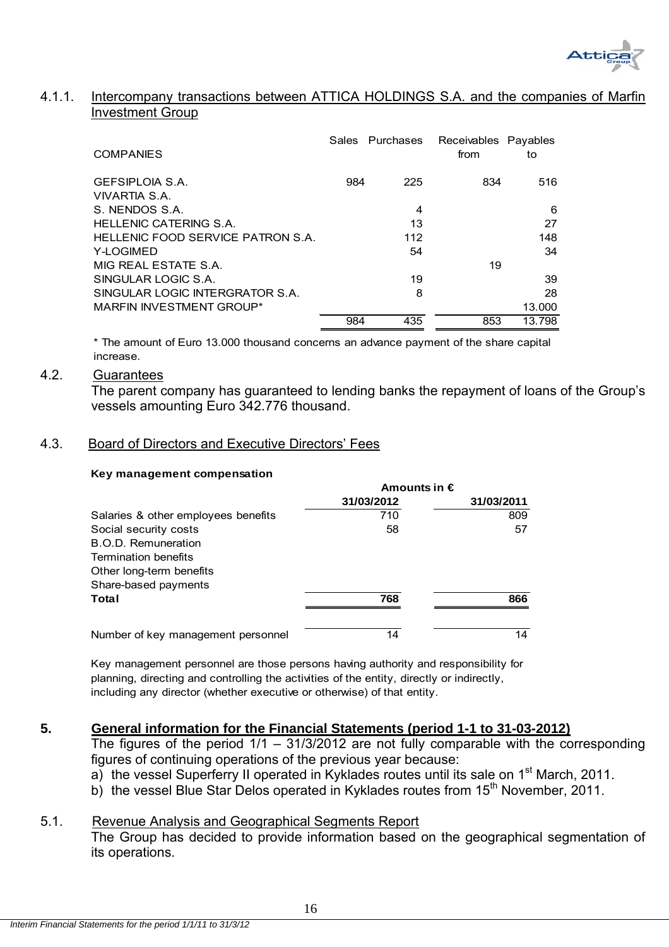

#### 4.1.1. Intercompany transactions between ATTICA HOLDINGS S.A. and the companies of Marfin Investment Group

| <b>COMPANIES</b>                  |     | Sales Purchases | Receivables Payables<br>from | to     |
|-----------------------------------|-----|-----------------|------------------------------|--------|
| GEFSIPLOIA S.A.                   | 984 | 225             | 834                          | 516    |
| VIVARTIA S.A.                     |     |                 |                              |        |
| S. NENDOS S.A.                    |     | 4               |                              | 6      |
| <b>HELLENIC CATERING S.A.</b>     |     | 13              |                              | 27     |
| HELLENIC FOOD SERVICE PATRON S.A. |     | 112             |                              | 148    |
| Y-LOGIMED                         |     | 54              |                              | 34     |
| MIG REAL ESTATE S.A.              |     |                 | 19                           |        |
| SINGULAR LOGIC S.A.               |     | 19              |                              | 39     |
| SINGULAR LOGIC INTERGRATOR S.A.   |     | 8               |                              | 28     |
| <b>MARFIN INVESTMENT GROUP*</b>   |     |                 |                              | 13.000 |
|                                   | 984 | 435             | 853                          | 13.798 |

\* The amount of Euro 13.000 thousand concerns an advance payment of the share capital increase.

#### 4.2. Guarantees

 The parent company has guaranteed to lending banks the repayment of loans of the Group's vessels amounting Euro 342.776 thousand.

#### 4.3. Board of Directors and Executive Directors' Fees

#### **Key management compensation**

|                                     | Amounts in $\epsilon$ |            |  |  |  |
|-------------------------------------|-----------------------|------------|--|--|--|
|                                     | 31/03/2012            | 31/03/2011 |  |  |  |
| Salaries & other employees benefits | 710                   | 809        |  |  |  |
| Social security costs               | 58                    | 57         |  |  |  |
| B.O.D. Remuneration                 |                       |            |  |  |  |
| <b>Termination benefits</b>         |                       |            |  |  |  |
| Other long-term benefits            |                       |            |  |  |  |
| Share-based payments                |                       |            |  |  |  |
| Total                               | 768                   | 866        |  |  |  |
| Number of key management personnel  | 14                    | 14         |  |  |  |

Key management personnel are those persons having authority and responsibility for planning, directing and controlling the activities of the entity, directly or indirectly, including any director (whether executive or otherwise) of that entity.

### **5. General information for the Financial Statements (period 1-1 to 31-03-2012)**

The figures of the period  $1/1 - 31/3/2012$  are not fully comparable with the corresponding figures of continuing operations of the previous year because:

- a) the vessel Superferry II operated in Kyklades routes until its sale on 1<sup>st</sup> March, 2011.
- b) the vessel Blue Star Delos operated in Kyklades routes from 15<sup>th</sup> November, 2011.

### 5.1. Revenue Analysis and Geographical Segments Report

The Group has decided to provide information based on the geographical segmentation of its operations.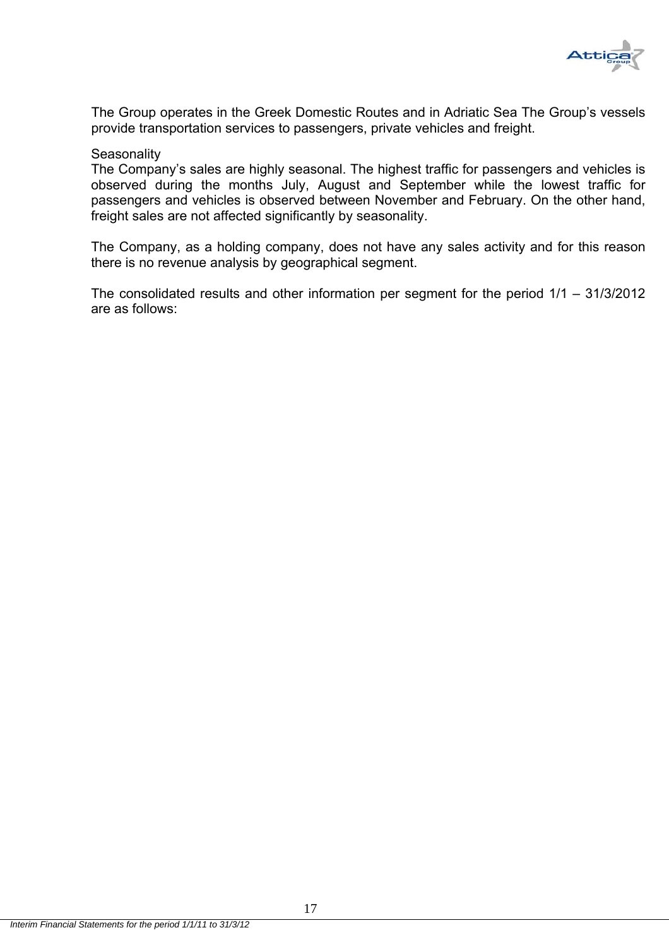

The Group operates in the Greek Domestic Routes and in Adriatic Sea The Group's vessels provide transportation services to passengers, private vehicles and freight.

#### **Seasonality**

The Company's sales are highly seasonal. The highest traffic for passengers and vehicles is observed during the months July, August and September while the lowest traffic for passengers and vehicles is observed between November and February. On the other hand, freight sales are not affected significantly by seasonality.

The Company, as a holding company, does not have any sales activity and for this reason there is no revenue analysis by geographical segment.

The consolidated results and other information per segment for the period 1/1 – 31/3/2012 are as follows: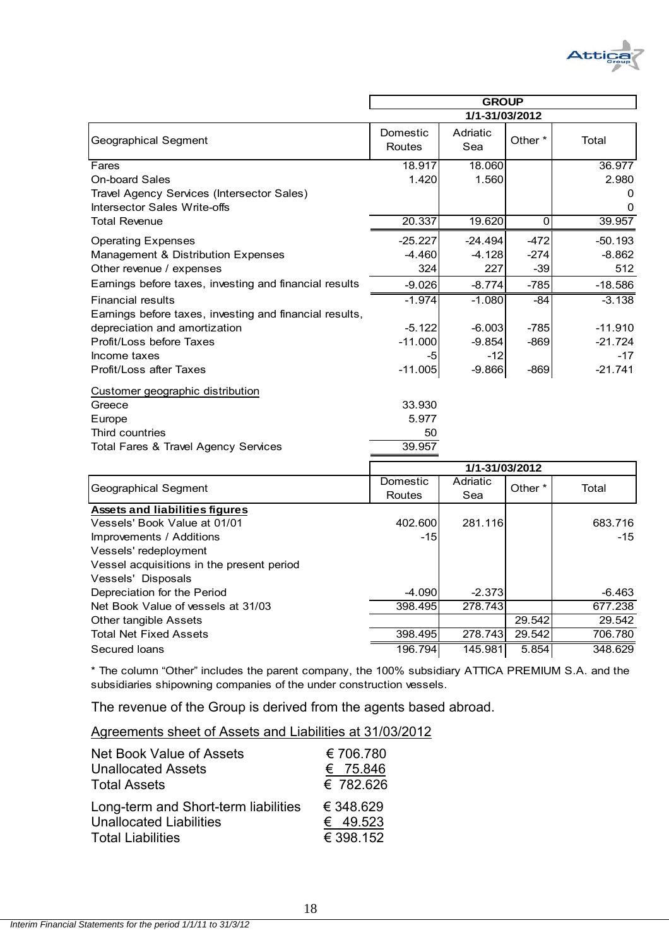

|                                                                            | <b>GROUP</b>       |                 |         |               |  |
|----------------------------------------------------------------------------|--------------------|-----------------|---------|---------------|--|
|                                                                            | 1/1-31/03/2012     |                 |         |               |  |
| Geographical Segment                                                       | Domestic<br>Routes | Adriatic<br>Sea | Other * | Total         |  |
| Fares                                                                      | 18.917             | 18.060          |         | 36.977        |  |
| <b>On-board Sales</b>                                                      | 1.420              | 1.560           |         | 2.980         |  |
| Travel Agency Services (Intersector Sales)<br>Intersector Sales Write-offs |                    |                 |         | $\Omega$<br>0 |  |
| <b>Total Revenue</b>                                                       | 20.337             | 19.620          | 0       | 39.957        |  |
| <b>Operating Expenses</b>                                                  | $-25.227$          | $-24.494$       | $-472$  | $-50.193$     |  |
| Management & Distribution Expenses                                         | $-4.460$           | $-4.128$        | $-274$  | $-8.862$      |  |
| Other revenue / expenses                                                   | 324                | 227             | $-39$   | 512           |  |
| Earnings before taxes, investing and financial results                     | $-9.026$           | $-8.774$        | $-785$  | $-18.586$     |  |
| <b>Financial results</b>                                                   | $-1.974$           | $-1.080$        | -84     | $-3.138$      |  |
| Earnings before taxes, investing and financial results,                    |                    |                 |         |               |  |
| depreciation and amortization                                              | $-5.122$           | $-6.003$        | $-785$  | $-11.910$     |  |
| Profit/Loss before Taxes                                                   | $-11.000$          | $-9.854$        | $-869$  | $-21.724$     |  |
| Income taxes                                                               | -5                 | $-12$           |         | $-17$         |  |
| Profit/Loss after Taxes                                                    | $-11.005$          | $-9.866$        | $-869$  | $-21.741$     |  |
| Customer geographic distribution                                           |                    |                 |         |               |  |
| Greece                                                                     | 33.930             |                 |         |               |  |
| Europe                                                                     | 5.977              |                 |         |               |  |
| Third countries                                                            | 50                 |                 |         |               |  |
| Total Fares & Travel Agency Services                                       | 39.957             |                 |         |               |  |

|                                           | 1/1-31/03/2012     |                 |                    |         |
|-------------------------------------------|--------------------|-----------------|--------------------|---------|
| Geographical Segment                      | Domestic<br>Routes | Adriatic<br>Sea | Other <sup>*</sup> | Total   |
| <b>Assets and liabilities figures</b>     |                    |                 |                    |         |
| Vessels' Book Value at 01/01              | 402.600            | 281.116         |                    | 683.716 |
| Improvements / Additions                  | $-15$              |                 |                    | $-15$   |
| Vessels' redeployment                     |                    |                 |                    |         |
| Vessel acquisitions in the present period |                    |                 |                    |         |
| Vessels' Disposals                        |                    |                 |                    |         |
| Depreciation for the Period               | $-4.090$           | $-2.373$        |                    | -6.463  |
| Net Book Value of vessels at 31/03        | 398.495            | 278.743         |                    | 677.238 |
| Other tangible Assets                     |                    |                 | 29.542             | 29.542  |
| <b>Total Net Fixed Assets</b>             | 398.495            | 278.743         | 29.542             | 706.780 |
| Secured Ioans                             | 196.794            | 145.981         | 5.854              | 348.629 |

\* The column "Other" includes the parent company, the 100% subsidiary ATTICA PREMIUM S.A. and the subsidiaries shipowning companies of the under construction vessels.

The revenue of the Group is derived from the agents based abroad.

| Agreements sheet of Assets and Liabilities at 31/03/2012 |  |  |
|----------------------------------------------------------|--|--|
|----------------------------------------------------------|--|--|

| <b>Net Book Value of Assets</b>      | €706.780  |
|--------------------------------------|-----------|
| <b>Unallocated Assets</b>            | € 75.846  |
| <b>Total Assets</b>                  | € 782.626 |
| Long-term and Short-term liabilities | € 348.629 |
| <b>Unallocated Liabilities</b>       | € 49.523  |
| <b>Total Liabilities</b>             | € 398.152 |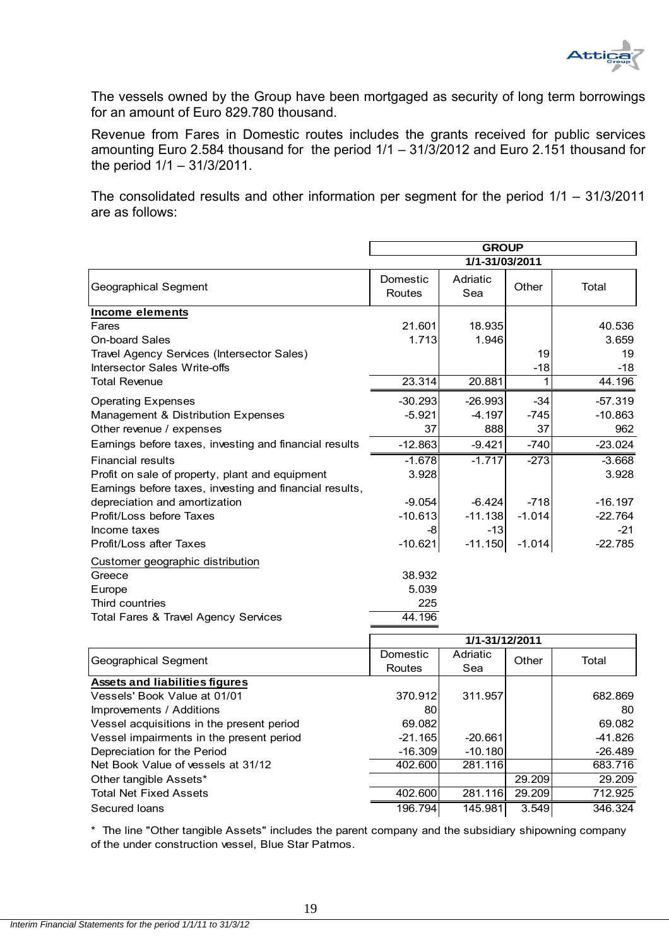

The vessels owned by the Group have been mortgaged as security of long term borrowings for an amount of Euro 829.780 thousand.

Revenue from Fares in Domestic routes includes the grants received for public services amounting Euro 2.584 thousand for the period 1/1 – 31/3/2012 and Euro 2.151 thousand for the period 1/1 – 31/3/2011.

The consolidated results and other information per segment for the period 1/1 – 31/3/2011 are as follows:

|                                                         | <b>GROUP</b>       |                 |          |           |
|---------------------------------------------------------|--------------------|-----------------|----------|-----------|
|                                                         | 1/1-31/03/2011     |                 |          |           |
| <b>Geographical Segment</b>                             | Domestic<br>Routes | Adriatic<br>Sea | Other    | Total     |
| <b>Income elements</b>                                  |                    |                 |          |           |
| Fares                                                   | 21.601             | 18.935          |          | 40.536    |
| <b>On-board Sales</b>                                   | 1.713              | 1.946           |          | 3.659     |
| Travel Agency Services (Intersector Sales)              |                    |                 | 19       | 19        |
| Intersector Sales Write-offs                            |                    |                 | $-18$    | $-18$     |
| <b>Total Revenue</b>                                    | 23.314             | 20.881          | 1        | 44.196    |
| <b>Operating Expenses</b>                               | $-30.293$          | $-26.993$       | $-34$    | $-57.319$ |
| Management & Distribution Expenses                      | $-5.921$           | $-4.197$        | $-745$   | $-10.863$ |
| Other revenue / expenses                                | 37                 | 888             | 37       | 962       |
| Earnings before taxes, investing and financial results  | $-12.863$          | $-9.421$        | $-740$   | $-23.024$ |
| <b>Financial results</b>                                | $-1.678$           | $-1.717$        | $-273$   | $-3.668$  |
| Profit on sale of property, plant and equipment         | 3.928              |                 |          | 3.928     |
| Earnings before taxes, investing and financial results, |                    |                 |          |           |
| depreciation and amortization                           | $-9.054$           | $-6.424$        | $-718$   | $-16.197$ |
| Profit/Loss before Taxes                                | $-10.613$          | $-11.138$       | $-1.014$ | $-22.764$ |
| Income taxes                                            | -8                 | $-13$           |          | $-21$     |
| Profit/Loss after Taxes                                 | $-10.621$          | $-11.150$       | $-1.014$ | $-22.785$ |
| Customer geographic distribution                        |                    |                 |          |           |
| Greece                                                  | 38.932             |                 |          |           |
| Europe                                                  | 5.039              |                 |          |           |
| Third countries                                         | 225                |                 |          |           |
| <b>Total Fares &amp; Travel Agency Services</b>         | 44.196             |                 |          |           |
|                                                         |                    | 1/1-31/12/2011  |          |           |
|                                                         | Domestic           | Adriatic        |          |           |
| <b>Geographical Segment</b>                             | Routes             | Sea             | Other    | Total     |
| <b>Assets and liabilities figures</b>                   |                    |                 |          |           |
| Vessels' Book Value at 01/01                            | 370.912            | 311.957         |          | 682.869   |
| Improvements / Additions                                | 80                 |                 |          | 80        |
| Vessel acquisitions in the present period               | 69.082             |                 |          | 69.082    |
| Vessel impairments in the present period                | $-21.165$          | $-20.661$       |          | -41.826   |

\* The line "Other tangible Assets" includes the parent company and the subsidiary shipowning company of the under construction vessel, Blue Star Patmos.

Depreciation for the Period **-16.309 -10.180** -10.180 -10.180 -26.489 Net Book Value of vessels at 31/12  $\overline{402.600}$  281.116  $\overline{683.716}$ Other tangible Assets\* 29.209 29.209 29.209 29.209 29.209 29.209 29.209 29.209 29.209 29.209 29.209 29.209 29.20 Total Net Fixed Assets 402.600 281.116 29.209 712.925 Secured loans 196.794 145.981 3.549 346.324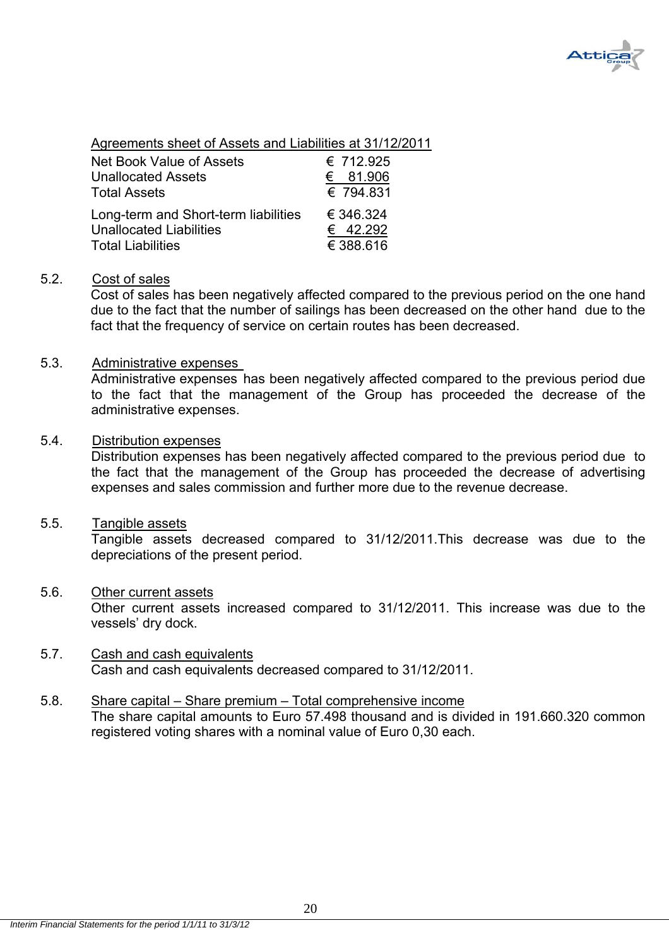

Agreements sheet of Assets and Liabilities at 31/12/2011

| Net Book Value of Assets             | € 712.925 |
|--------------------------------------|-----------|
| <b>Unallocated Assets</b>            | € 81.906  |
| <b>Total Assets</b>                  | € 794.831 |
| Long-term and Short-term liabilities | € 346.324 |
| <b>Unallocated Liabilities</b>       | € 42.292  |
| <b>Total Liabilities</b>             | € 388.616 |

### 5.2. Cost of sales

 Cost of sales has been negatively affected compared to the previous period on the one hand due to the fact that the number of sailings has been decreased on the other hand due to the fact that the frequency of service on certain routes has been decreased.

#### 5.3. Administrative expenses

Administrative expenses has been negatively affected compared to the previous period due to the fact that the management of the Group has proceeded the decrease of the administrative expenses.

#### 5.4. Distribution expenses

Distribution expenses has been negatively affected compared to the previous period due to the fact that the management of the Group has proceeded the decrease of advertising expenses and sales commission and further more due to the revenue decrease.

#### 5.5. Tangible assets

Tangible assets decreased compared to 31/12/2011.This decrease was due to the depreciations of the present period.

### 5.6. Other current assets

Other current assets increased compared to 31/12/2011. This increase was due to the vessels' dry dock.

#### 5.7. Cash and cash equivalents Cash and cash equivalents decreased compared to 31/12/2011.

### 5.8. Share capital – Share premium – Total comprehensive income The share capital amounts to Euro 57.498 thousand and is divided in 191.660.320 common registered voting shares with a nominal value of Euro 0,30 each.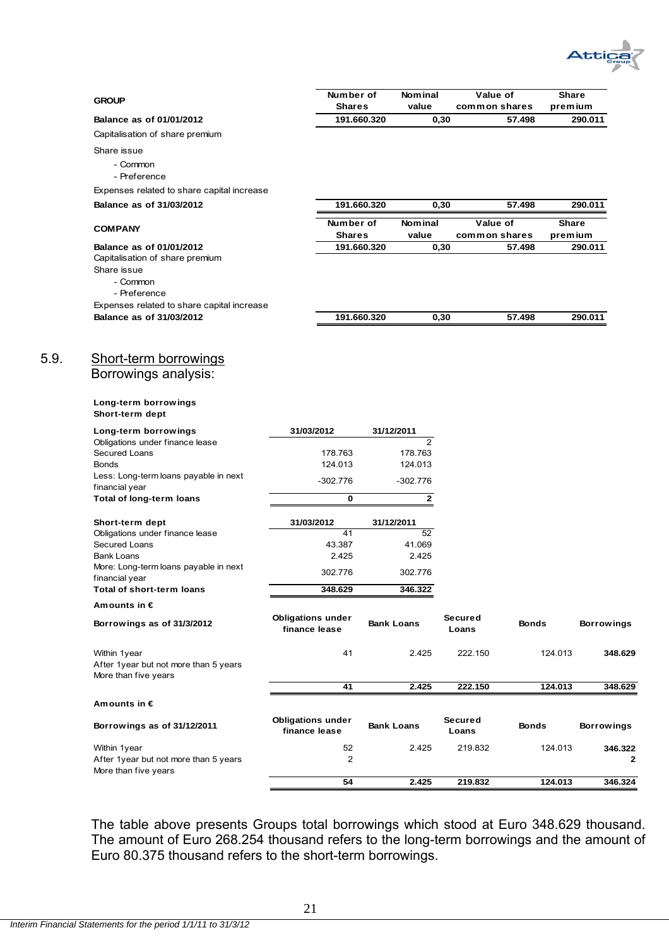

| <b>GROUP</b>                                                                                           |                                           | Number of            |             | <b>Nominal</b>            |                  | Value of                | Share        |                   |
|--------------------------------------------------------------------------------------------------------|-------------------------------------------|----------------------|-------------|---------------------------|------------------|-------------------------|--------------|-------------------|
| Balance as of 01/01/2012                                                                               |                                           | <b>Shares</b>        | 191.660.320 | value                     |                  | common shares<br>57.498 | premium      | 290.011           |
| Capitalisation of share premium                                                                        |                                           |                      |             |                           | 0,30             |                         |              |                   |
| Share issue                                                                                            |                                           |                      |             |                           |                  |                         |              |                   |
| - Common<br>- Preference                                                                               |                                           |                      |             |                           |                  |                         |              |                   |
| Expenses related to share capital increase                                                             |                                           |                      |             |                           |                  |                         |              |                   |
| Balance as of 31/03/2012                                                                               |                                           |                      | 191.660.320 |                           | 0,30             | 57.498                  |              | 290.011           |
| <b>COMPANY</b>                                                                                         |                                           | Number of            |             | <b>Nominal</b>            |                  | Value of                | <b>Share</b> |                   |
|                                                                                                        |                                           | <b>Shares</b>        |             | value                     |                  | common shares           | premium      |                   |
| Balance as of 01/01/2012<br>Capitalisation of share premium<br>Share issue<br>- Common<br>- Preference |                                           |                      | 191.660.320 |                           | 0,30             | 57.498                  |              | 290.011           |
| Expenses related to share capital increase<br>Balance as of 31/03/2012                                 |                                           |                      | 191.660.320 |                           | 0,30             | 57.498                  |              | 290.011           |
|                                                                                                        |                                           |                      |             |                           |                  |                         |              |                   |
| <b>Short-term borrowings</b><br>Borrowings analysis:<br>Long-term borrowings                           |                                           |                      |             |                           |                  |                         |              |                   |
| Short-term dept                                                                                        |                                           |                      |             |                           |                  |                         |              |                   |
| Long-term borrowings                                                                                   | 31/03/2012                                |                      |             | 31/12/2011                |                  |                         |              |                   |
| Obligations under finance lease<br>Secured Loans                                                       |                                           | 178.763              |             | $\overline{2}$<br>178.763 |                  |                         |              |                   |
| <b>Bonds</b>                                                                                           |                                           | 124.013              |             | 124.013                   |                  |                         |              |                   |
| Less: Long-term loans payable in next                                                                  |                                           | $-302.776$           |             | $-302.776$                |                  |                         |              |                   |
| financial year<br><b>Total of long-term loans</b>                                                      |                                           | 0                    |             | $\mathbf{2}$              |                  |                         |              |                   |
|                                                                                                        |                                           |                      |             |                           |                  |                         |              |                   |
| Short-term dept<br>Obligations under finance lease                                                     | 31/03/2012                                | 41                   |             | 31/12/2011<br>52          |                  |                         |              |                   |
| Secured Loans                                                                                          |                                           | 43.387               |             | 41.069                    |                  |                         |              |                   |
| <b>Bank Loans</b>                                                                                      |                                           | 2.425                |             | 2.425                     |                  |                         |              |                   |
| More: Long-term loans payable in next<br>financial year                                                |                                           | 302.776              |             | 302.776                   |                  |                         |              |                   |
| Total of short-term loans                                                                              |                                           | 348.629              |             | 346.322                   |                  |                         |              |                   |
| Amounts in $\epsilon$                                                                                  |                                           |                      |             |                           |                  |                         |              |                   |
| Borrowings as of 31/3/2012                                                                             | <b>Obligations under</b><br>finance lease |                      |             | <b>Bank Loans</b>         | Secured<br>Loans | <b>Bonds</b>            |              | <b>Borrowings</b> |
| Within 1year<br>After 1year but not more than 5 years<br>More than five years                          |                                           | 41                   |             | 2.425                     | 222.150          |                         | 124.013      | 348.629           |
|                                                                                                        |                                           | 41                   |             | 2.425                     | 222.150          |                         | 124.013      | 348.629           |
| Amounts in $\epsilon$                                                                                  |                                           |                      |             |                           |                  |                         |              |                   |
| Borrowings as of 31/12/2011                                                                            | <b>Obligations under</b><br>finance lease |                      |             | <b>Bank Loans</b>         | Secured<br>Loans | <b>Bonds</b>            |              | <b>Borrowings</b> |
| Within 1year<br>After 1year but not more than 5 years<br>More than five years                          |                                           | 52<br>$\overline{2}$ |             | 2.425                     | 219.832          |                         | 124.013      | 346.322<br>2      |
|                                                                                                        |                                           | 54                   |             | 2.425                     | 219.832          |                         | 124.013      | 346.324           |

The table above presents Groups total borrowings which stood at Euro 348.629 thousand. The amount of Euro 268.254 thousand refers to the long-term borrowings and the amount of Euro 80.375 thousand refers to the short-term borrowings.

 $5.9.$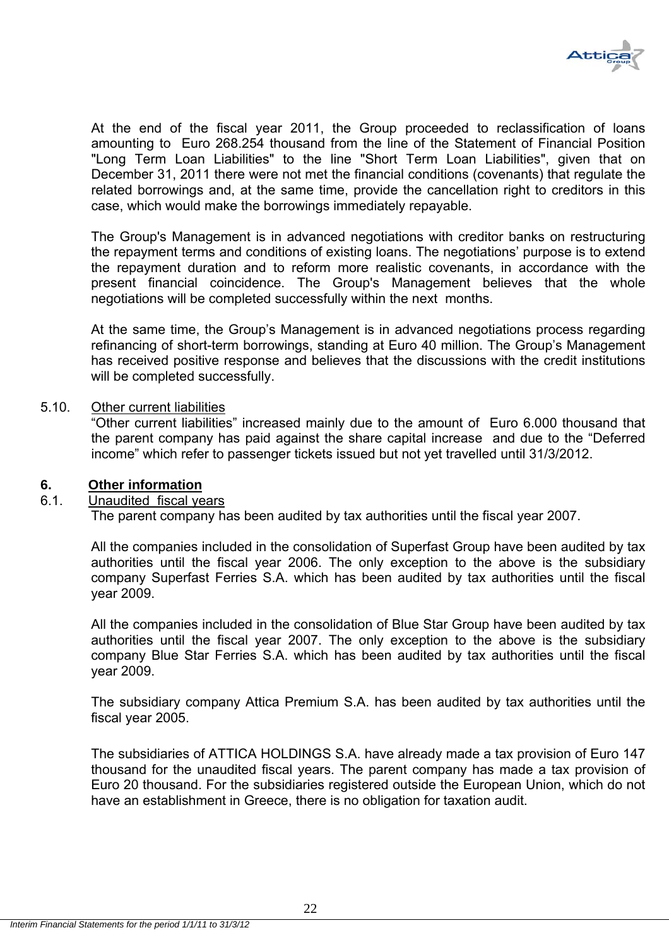

At the end of the fiscal year 2011, the Group proceeded to reclassification of loans amounting to Euro 268.254 thousand from the line of the Statement of Financial Position "Long Term Loan Liabilities" to the line "Short Term Loan Liabilities", given that on December 31, 2011 there were not met the financial conditions (covenants) that regulate the related borrowings and, at the same time, provide the cancellation right to creditors in this case, which would make the borrowings immediately repayable.

The Group's Management is in advanced negotiations with creditor banks on restructuring the repayment terms and conditions of existing loans. The negotiations' purpose is to extend the repayment duration and to reform more realistic covenants, in accordance with the present financial coincidence. The Group's Management believes that the whole negotiations will be completed successfully within the next months.

At the same time, the Group's Management is in advanced negotiations process regarding refinancing of short-term borrowings, standing at Euro 40 million. The Group's Management has received positive response and believes that the discussions with the credit institutions will be completed successfully.

#### 5.10. Other current liabilities

"Other current liabilities" increased mainly due to the amount of Euro 6.000 thousand that the parent company has paid against the share capital increase and due to the "Deferred income" which refer to passenger tickets issued but not yet travelled until 31/3/2012.

### **6. Other information**

### 6.1. Unaudited fiscal years

The parent company has been audited by tax authorities until the fiscal year 2007.

All the companies included in the consolidation of Superfast Group have been audited by tax authorities until the fiscal year 2006. The only exception to the above is the subsidiary company Superfast Ferries S.A. which has been audited by tax authorities until the fiscal year 2009.

All the companies included in the consolidation of Blue Star Group have been audited by tax authorities until the fiscal year 2007. The only exception to the above is the subsidiary company Blue Star Ferries S.A. which has been audited by tax authorities until the fiscal year 2009.

The subsidiary company Attica Premium S.A. has been audited by tax authorities until the fiscal year 2005.

The subsidiaries of ATTICA HOLDINGS S.A. have already made a tax provision of Euro 147 thousand for the unaudited fiscal years. The parent company has made a tax provision of Euro 20 thousand. For the subsidiaries registered outside the European Union, which do not have an establishment in Greece, there is no obligation for taxation audit.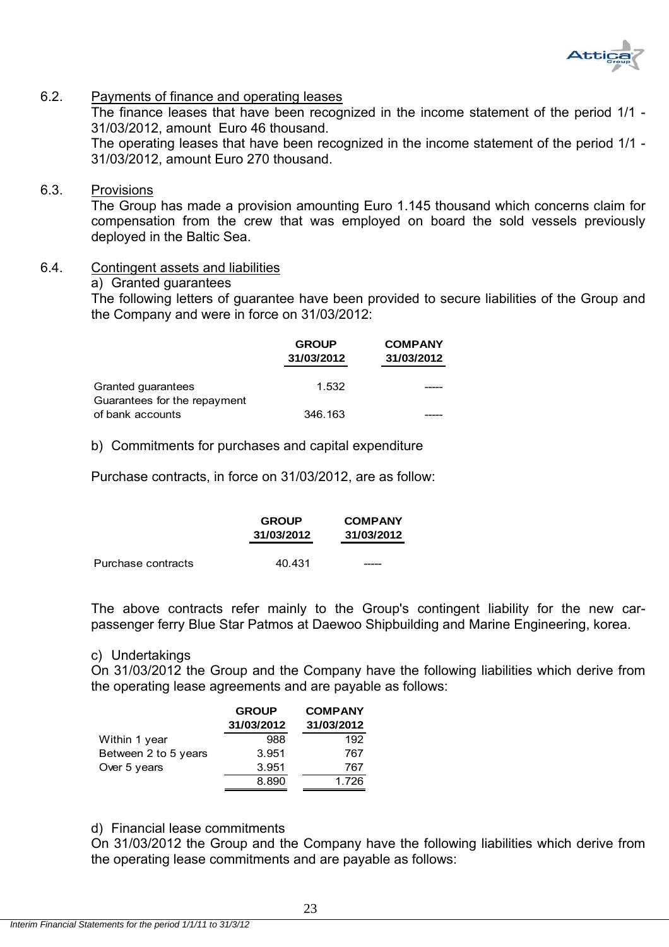

## 6.2. Payments of finance and operating leases

The finance leases that have been recognized in the income statement of the period 1/1 - 31/03/2012, amount Euro 46 thousand.

The operating leases that have been recognized in the income statement of the period 1/1 - 31/03/2012, amount Euro 270 thousand.

#### 6.3. Provisions

The Group has made a provision amounting Euro 1.145 thousand which concerns claim for compensation from the crew that was employed on board the sold vessels previously deployed in the Baltic Sea.

- 6.4. Contingent assets and liabilities
	- a) Granted guarantees

The following letters of guarantee have been provided to secure liabilities of the Group and the Company and were in force on 31/03/2012:

|                              | <b>GROUP</b><br>31/03/2012 | <b>COMPANY</b><br>31/03/2012 |
|------------------------------|----------------------------|------------------------------|
| Granted quarantees           | 1.532                      |                              |
| Guarantees for the repayment |                            |                              |
| of bank accounts             | 346.163                    |                              |

b) Commitments for purchases and capital expenditure

Purchase contracts, in force on 31/03/2012, are as follow:

|                    | <b>GROUP</b><br>31/03/2012 | <b>COMPANY</b><br>31/03/2012 |
|--------------------|----------------------------|------------------------------|
| Purchase contracts | 40.431                     |                              |

The above contracts refer mainly to the Group's contingent liability for the new carpassenger ferry Blue Star Patmos at Daewoo Shipbuilding and Marine Engineering, korea.

#### c) Undertakings

On 31/03/2012 the Group and the Company have the following liabilities which derive from the operating lease agreements and are payable as follows:

|                      | <b>GROUP</b> | <b>COMPANY</b> |
|----------------------|--------------|----------------|
|                      | 31/03/2012   | 31/03/2012     |
| Within 1 year        | 988          | 192            |
| Between 2 to 5 years | 3.951        | 767            |
| Over 5 years         | 3.951        | 767            |
|                      | 8.890        | 1.726          |

### d) Financial lease commitments

On 31/03/2012 the Group and the Company have the following liabilities which derive from the operating lease commitments and are payable as follows: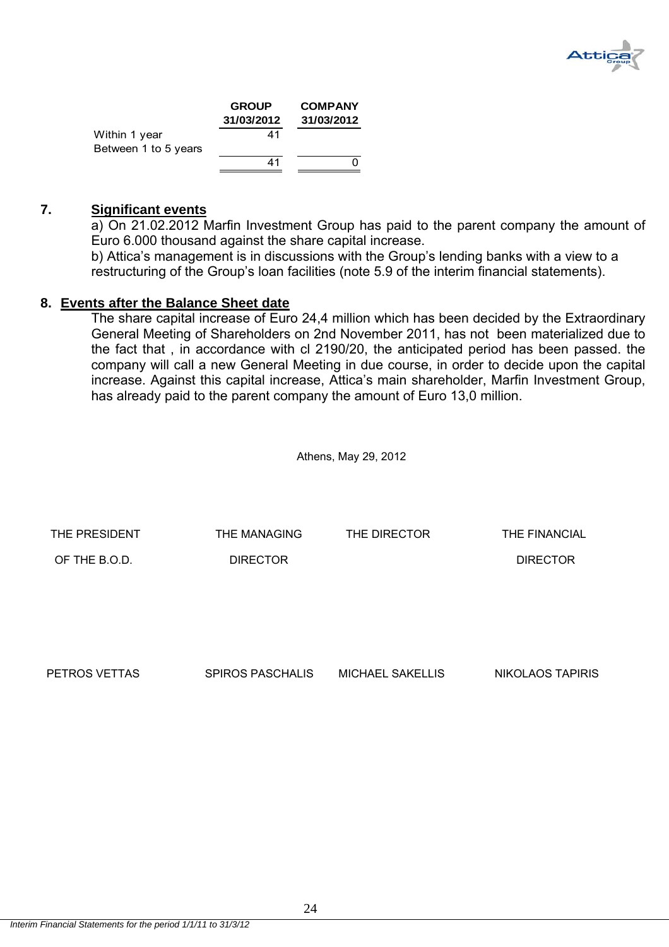

|                      | <b>GROUP</b> | <b>COMPANY</b> |
|----------------------|--------------|----------------|
|                      | 31/03/2012   | 31/03/2012     |
| Within 1 year        | 41           |                |
| Between 1 to 5 years |              |                |
|                      | 41           |                |

#### **7. Significant events**

a) On 21.02.2012 Marfin Investment Group has paid to the parent company the amount of Euro 6.000 thousand against the share capital increase.

b) Attica's management is in discussions with the Group's lending banks with a view to a restructuring of the Group's loan facilities (note 5.9 of the interim financial statements).

#### **8. Events after the Balance Sheet date**

The share capital increase of Euro 24,4 million which has been decided by the Extraordinary General Meeting of Shareholders on 2nd November 2011, has not been materialized due to the fact that , in accordance with cl 2190/20, the anticipated period has been passed. the company will call a new General Meeting in due course, in order to decide upon the capital increase. Against this capital increase, Attica's main shareholder, Marfin Investment Group, has already paid to the parent company the amount of Euro 13,0 million.

Athens, May 29, 2012

| THE PRESIDENT | THE MANAGING    | THE DIRECTOR | THE FINANCIAL   |
|---------------|-----------------|--------------|-----------------|
| OF THE B.O.D. | <b>DIRECTOR</b> |              | <b>DIRECTOR</b> |
|               |                 |              |                 |
|               |                 |              |                 |

PETROS VETTAS SPIROS PASCHALIS MICHAEL SAKELLIS NIKOLAOS TAPIRIS